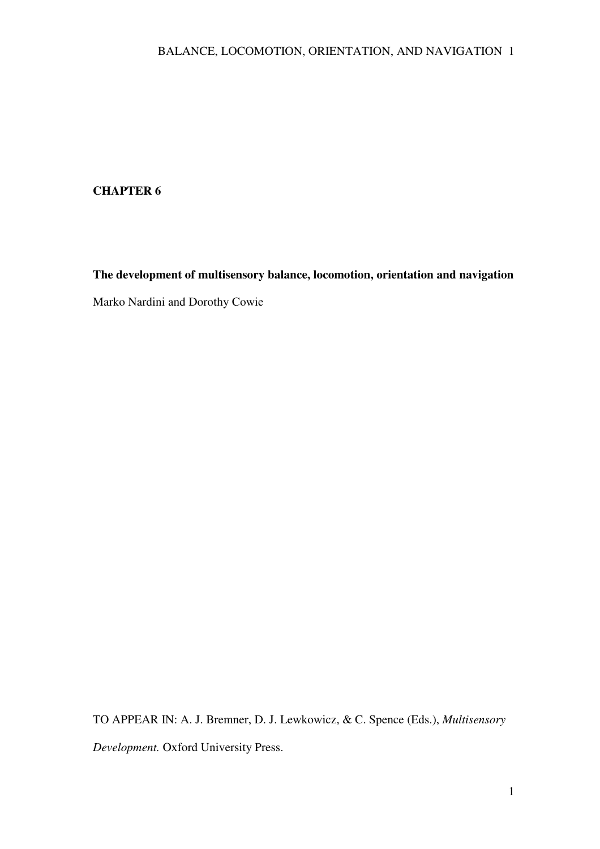# **CHAPTER 6**

**The development of multisensory balance, locomotion, orientation and navigation** 

Marko Nardini and Dorothy Cowie

TO APPEAR IN: A. J. Bremner, D. J. Lewkowicz, & C. Spence (Eds.), *Multisensory Development.* Oxford University Press.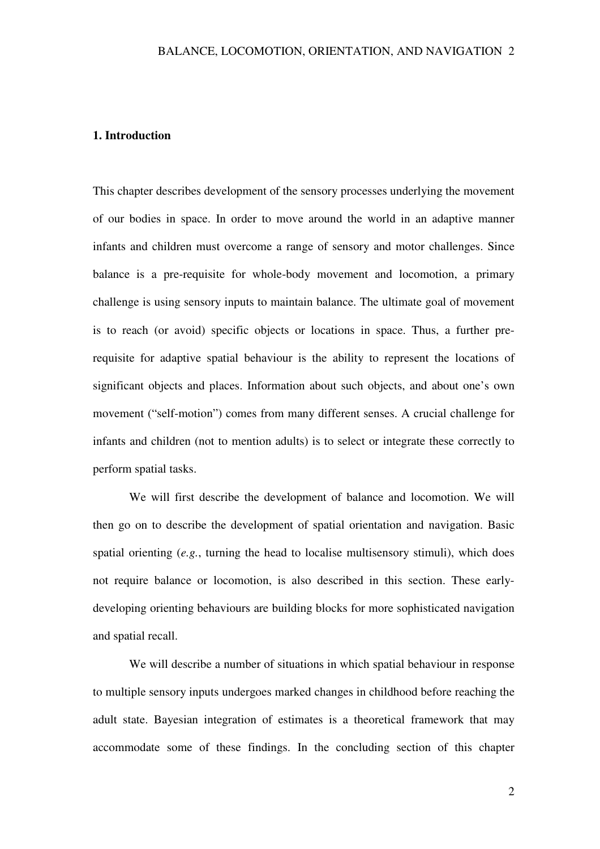#### **1. Introduction**

This chapter describes development of the sensory processes underlying the movement of our bodies in space. In order to move around the world in an adaptive manner infants and children must overcome a range of sensory and motor challenges. Since balance is a pre-requisite for whole-body movement and locomotion, a primary challenge is using sensory inputs to maintain balance. The ultimate goal of movement is to reach (or avoid) specific objects or locations in space. Thus, a further prerequisite for adaptive spatial behaviour is the ability to represent the locations of significant objects and places. Information about such objects, and about one's own movement ("self-motion") comes from many different senses. A crucial challenge for infants and children (not to mention adults) is to select or integrate these correctly to perform spatial tasks.

We will first describe the development of balance and locomotion. We will then go on to describe the development of spatial orientation and navigation. Basic spatial orienting (*e.g.*, turning the head to localise multisensory stimuli), which does not require balance or locomotion, is also described in this section. These earlydeveloping orienting behaviours are building blocks for more sophisticated navigation and spatial recall.

We will describe a number of situations in which spatial behaviour in response to multiple sensory inputs undergoes marked changes in childhood before reaching the adult state. Bayesian integration of estimates is a theoretical framework that may accommodate some of these findings. In the concluding section of this chapter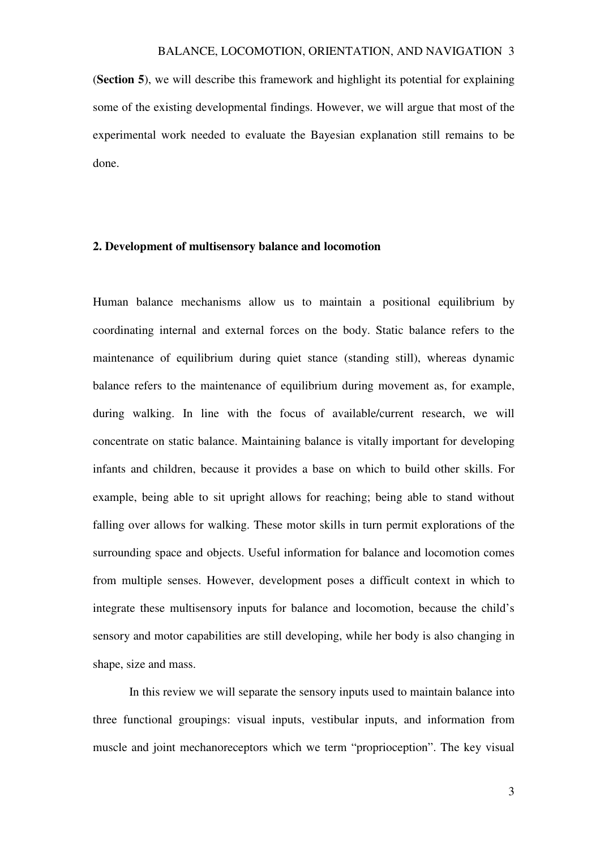(**Section 5**), we will describe this framework and highlight its potential for explaining some of the existing developmental findings. However, we will argue that most of the experimental work needed to evaluate the Bayesian explanation still remains to be done.

#### **2. Development of multisensory balance and locomotion**

Human balance mechanisms allow us to maintain a positional equilibrium by coordinating internal and external forces on the body. Static balance refers to the maintenance of equilibrium during quiet stance (standing still), whereas dynamic balance refers to the maintenance of equilibrium during movement as, for example, during walking. In line with the focus of available/current research, we will concentrate on static balance. Maintaining balance is vitally important for developing infants and children, because it provides a base on which to build other skills. For example, being able to sit upright allows for reaching; being able to stand without falling over allows for walking. These motor skills in turn permit explorations of the surrounding space and objects. Useful information for balance and locomotion comes from multiple senses. However, development poses a difficult context in which to integrate these multisensory inputs for balance and locomotion, because the child's sensory and motor capabilities are still developing, while her body is also changing in shape, size and mass.

In this review we will separate the sensory inputs used to maintain balance into three functional groupings: visual inputs, vestibular inputs, and information from muscle and joint mechanoreceptors which we term "proprioception". The key visual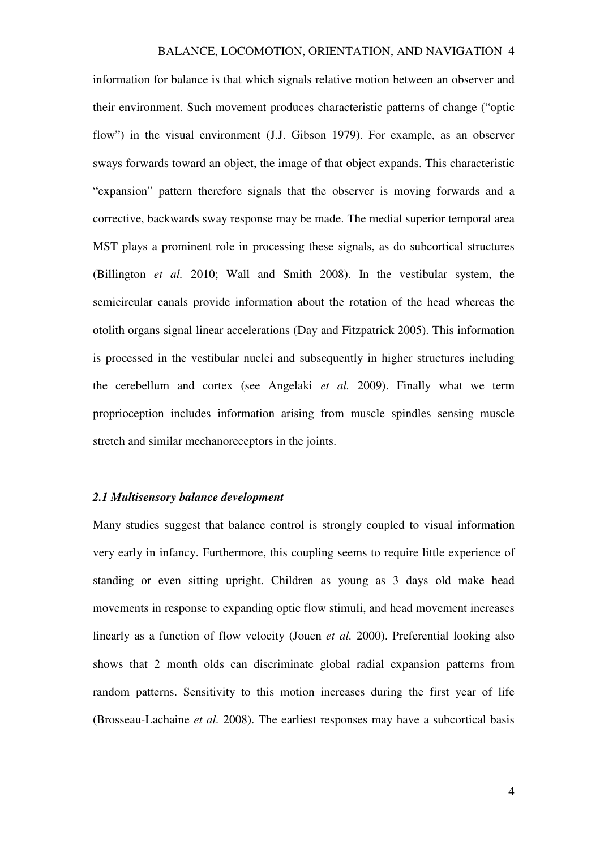information for balance is that which signals relative motion between an observer and their environment. Such movement produces characteristic patterns of change ("optic flow") in the visual environment (J.J. Gibson 1979). For example, as an observer sways forwards toward an object, the image of that object expands. This characteristic "expansion" pattern therefore signals that the observer is moving forwards and a corrective, backwards sway response may be made. The medial superior temporal area MST plays a prominent role in processing these signals, as do subcortical structures (Billington *et al.* 2010; Wall and Smith 2008). In the vestibular system, the semicircular canals provide information about the rotation of the head whereas the otolith organs signal linear accelerations (Day and Fitzpatrick 2005). This information is processed in the vestibular nuclei and subsequently in higher structures including the cerebellum and cortex (see Angelaki *et al.* 2009). Finally what we term proprioception includes information arising from muscle spindles sensing muscle stretch and similar mechanoreceptors in the joints.

### *2.1 Multisensory balance development*

Many studies suggest that balance control is strongly coupled to visual information very early in infancy. Furthermore, this coupling seems to require little experience of standing or even sitting upright. Children as young as 3 days old make head movements in response to expanding optic flow stimuli, and head movement increases linearly as a function of flow velocity (Jouen *et al.* 2000). Preferential looking also shows that 2 month olds can discriminate global radial expansion patterns from random patterns. Sensitivity to this motion increases during the first year of life (Brosseau-Lachaine *et al.* 2008). The earliest responses may have a subcortical basis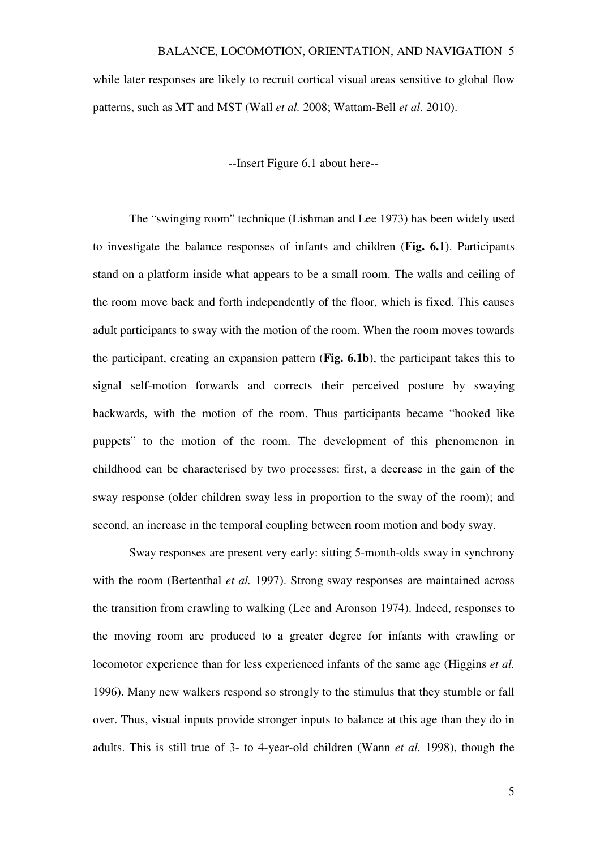while later responses are likely to recruit cortical visual areas sensitive to global flow patterns, such as MT and MST (Wall *et al.* 2008; Wattam-Bell *et al.* 2010).

--Insert Figure 6.1 about here--

The "swinging room" technique (Lishman and Lee 1973) has been widely used to investigate the balance responses of infants and children (**Fig. 6.1**). Participants stand on a platform inside what appears to be a small room. The walls and ceiling of the room move back and forth independently of the floor, which is fixed. This causes adult participants to sway with the motion of the room. When the room moves towards the participant, creating an expansion pattern (**Fig. 6.1b**), the participant takes this to signal self-motion forwards and corrects their perceived posture by swaying backwards, with the motion of the room. Thus participants became "hooked like puppets" to the motion of the room. The development of this phenomenon in childhood can be characterised by two processes: first, a decrease in the gain of the sway response (older children sway less in proportion to the sway of the room); and second, an increase in the temporal coupling between room motion and body sway.

Sway responses are present very early: sitting 5-month-olds sway in synchrony with the room (Bertenthal *et al.* 1997). Strong sway responses are maintained across the transition from crawling to walking (Lee and Aronson 1974). Indeed, responses to the moving room are produced to a greater degree for infants with crawling or locomotor experience than for less experienced infants of the same age (Higgins *et al.* 1996). Many new walkers respond so strongly to the stimulus that they stumble or fall over. Thus, visual inputs provide stronger inputs to balance at this age than they do in adults. This is still true of 3- to 4-year-old children (Wann *et al.* 1998), though the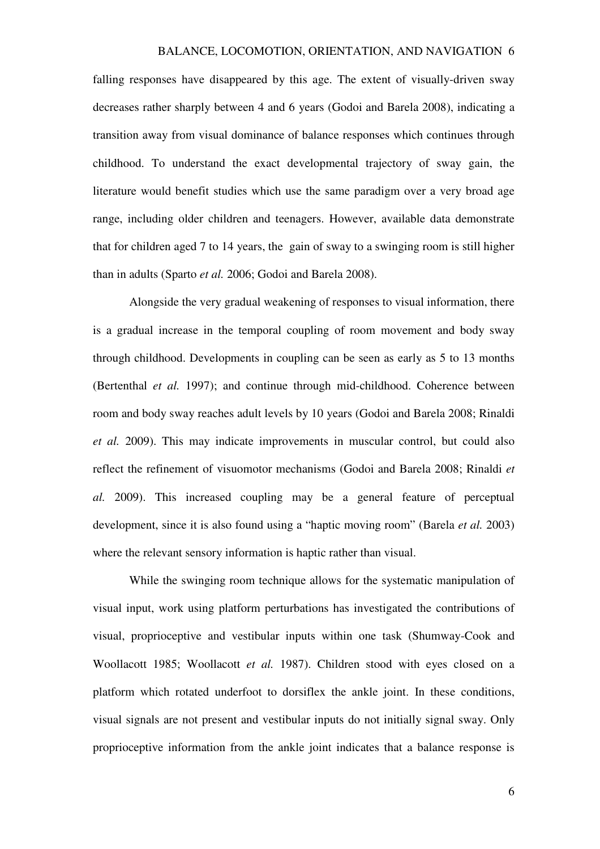falling responses have disappeared by this age. The extent of visually-driven sway decreases rather sharply between 4 and 6 years (Godoi and Barela 2008), indicating a transition away from visual dominance of balance responses which continues through childhood. To understand the exact developmental trajectory of sway gain, the literature would benefit studies which use the same paradigm over a very broad age range, including older children and teenagers. However, available data demonstrate that for children aged 7 to 14 years, the gain of sway to a swinging room is still higher than in adults (Sparto *et al.* 2006; Godoi and Barela 2008).

Alongside the very gradual weakening of responses to visual information, there is a gradual increase in the temporal coupling of room movement and body sway through childhood. Developments in coupling can be seen as early as 5 to 13 months (Bertenthal *et al.* 1997); and continue through mid-childhood. Coherence between room and body sway reaches adult levels by 10 years (Godoi and Barela 2008; Rinaldi *et al.* 2009). This may indicate improvements in muscular control, but could also reflect the refinement of visuomotor mechanisms (Godoi and Barela 2008; Rinaldi *et al.* 2009). This increased coupling may be a general feature of perceptual development, since it is also found using a "haptic moving room" (Barela *et al.* 2003) where the relevant sensory information is haptic rather than visual.

While the swinging room technique allows for the systematic manipulation of visual input, work using platform perturbations has investigated the contributions of visual, proprioceptive and vestibular inputs within one task (Shumway-Cook and Woollacott 1985; Woollacott *et al.* 1987). Children stood with eyes closed on a platform which rotated underfoot to dorsiflex the ankle joint. In these conditions, visual signals are not present and vestibular inputs do not initially signal sway. Only proprioceptive information from the ankle joint indicates that a balance response is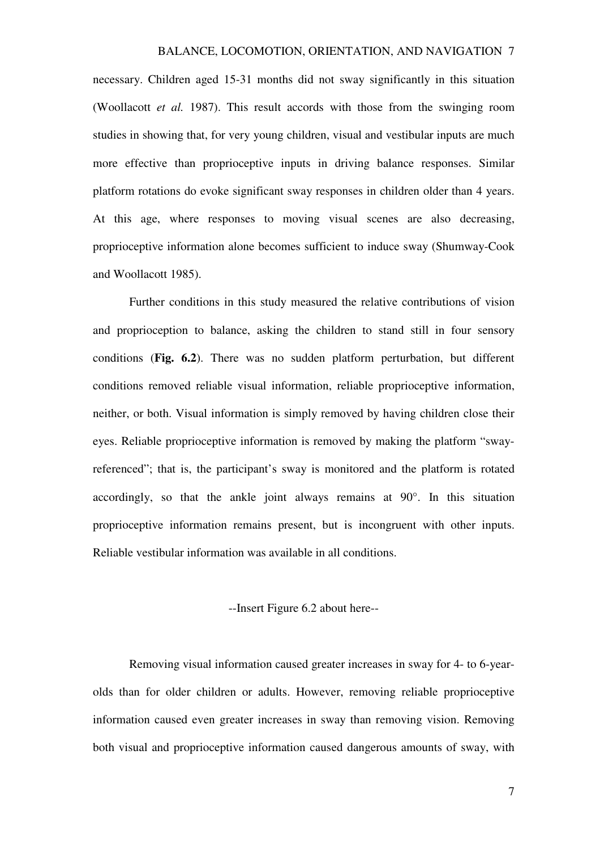necessary. Children aged 15-31 months did not sway significantly in this situation (Woollacott *et al.* 1987). This result accords with those from the swinging room studies in showing that, for very young children, visual and vestibular inputs are much more effective than proprioceptive inputs in driving balance responses. Similar platform rotations do evoke significant sway responses in children older than 4 years. At this age, where responses to moving visual scenes are also decreasing, proprioceptive information alone becomes sufficient to induce sway (Shumway-Cook and Woollacott 1985).

Further conditions in this study measured the relative contributions of vision and proprioception to balance, asking the children to stand still in four sensory conditions (**Fig. 6.2**). There was no sudden platform perturbation, but different conditions removed reliable visual information, reliable proprioceptive information, neither, or both. Visual information is simply removed by having children close their eyes. Reliable proprioceptive information is removed by making the platform "swayreferenced"; that is, the participant's sway is monitored and the platform is rotated accordingly, so that the ankle joint always remains at 90°. In this situation proprioceptive information remains present, but is incongruent with other inputs. Reliable vestibular information was available in all conditions.

#### --Insert Figure 6.2 about here--

Removing visual information caused greater increases in sway for 4- to 6-yearolds than for older children or adults. However, removing reliable proprioceptive information caused even greater increases in sway than removing vision. Removing both visual and proprioceptive information caused dangerous amounts of sway, with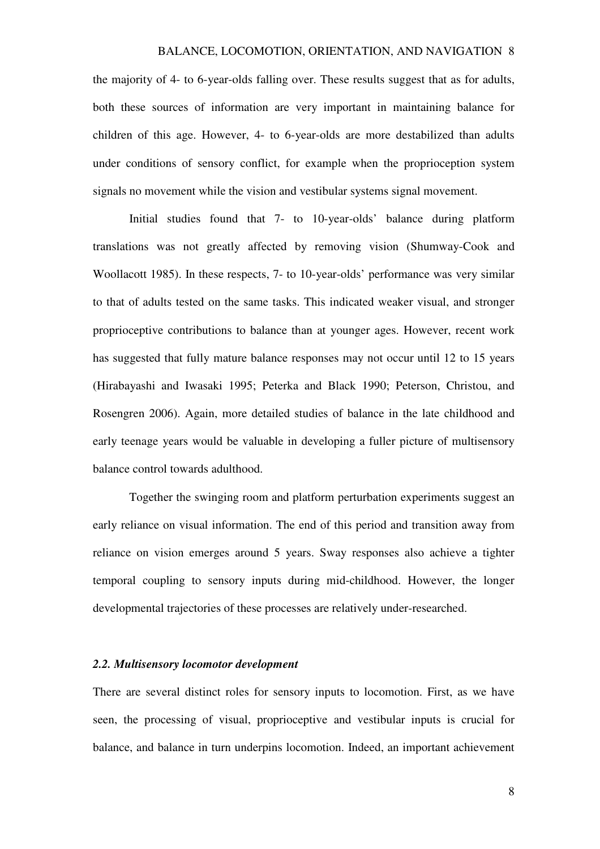the majority of 4- to 6-year-olds falling over. These results suggest that as for adults, both these sources of information are very important in maintaining balance for children of this age. However, 4- to 6-year-olds are more destabilized than adults under conditions of sensory conflict, for example when the proprioception system signals no movement while the vision and vestibular systems signal movement.

Initial studies found that 7- to 10-year-olds' balance during platform translations was not greatly affected by removing vision (Shumway-Cook and Woollacott 1985). In these respects, 7- to 10-year-olds' performance was very similar to that of adults tested on the same tasks. This indicated weaker visual, and stronger proprioceptive contributions to balance than at younger ages. However, recent work has suggested that fully mature balance responses may not occur until 12 to 15 years (Hirabayashi and Iwasaki 1995; Peterka and Black 1990; Peterson, Christou, and Rosengren 2006). Again, more detailed studies of balance in the late childhood and early teenage years would be valuable in developing a fuller picture of multisensory balance control towards adulthood.

Together the swinging room and platform perturbation experiments suggest an early reliance on visual information. The end of this period and transition away from reliance on vision emerges around 5 years. Sway responses also achieve a tighter temporal coupling to sensory inputs during mid-childhood. However, the longer developmental trajectories of these processes are relatively under-researched.

#### *2.2. Multisensory locomotor development*

There are several distinct roles for sensory inputs to locomotion. First, as we have seen, the processing of visual, proprioceptive and vestibular inputs is crucial for balance, and balance in turn underpins locomotion. Indeed, an important achievement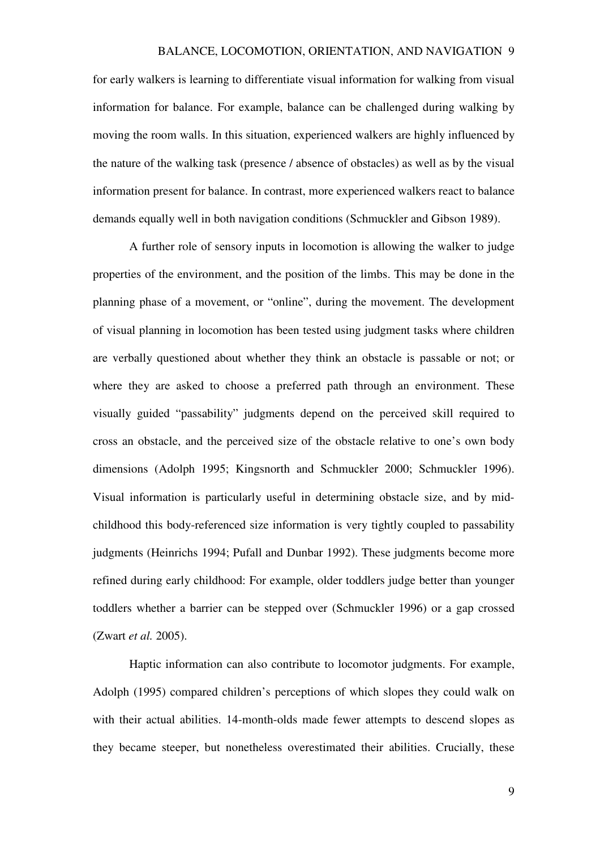for early walkers is learning to differentiate visual information for walking from visual information for balance. For example, balance can be challenged during walking by moving the room walls. In this situation, experienced walkers are highly influenced by the nature of the walking task (presence / absence of obstacles) as well as by the visual information present for balance. In contrast, more experienced walkers react to balance demands equally well in both navigation conditions (Schmuckler and Gibson 1989).

A further role of sensory inputs in locomotion is allowing the walker to judge properties of the environment, and the position of the limbs. This may be done in the planning phase of a movement, or "online", during the movement. The development of visual planning in locomotion has been tested using judgment tasks where children are verbally questioned about whether they think an obstacle is passable or not; or where they are asked to choose a preferred path through an environment. These visually guided "passability" judgments depend on the perceived skill required to cross an obstacle, and the perceived size of the obstacle relative to one's own body dimensions (Adolph 1995; Kingsnorth and Schmuckler 2000; Schmuckler 1996). Visual information is particularly useful in determining obstacle size, and by midchildhood this body-referenced size information is very tightly coupled to passability judgments (Heinrichs 1994; Pufall and Dunbar 1992). These judgments become more refined during early childhood: For example, older toddlers judge better than younger toddlers whether a barrier can be stepped over (Schmuckler 1996) or a gap crossed (Zwart *et al.* 2005).

Haptic information can also contribute to locomotor judgments. For example, Adolph (1995) compared children's perceptions of which slopes they could walk on with their actual abilities. 14-month-olds made fewer attempts to descend slopes as they became steeper, but nonetheless overestimated their abilities. Crucially, these

 $\overline{Q}$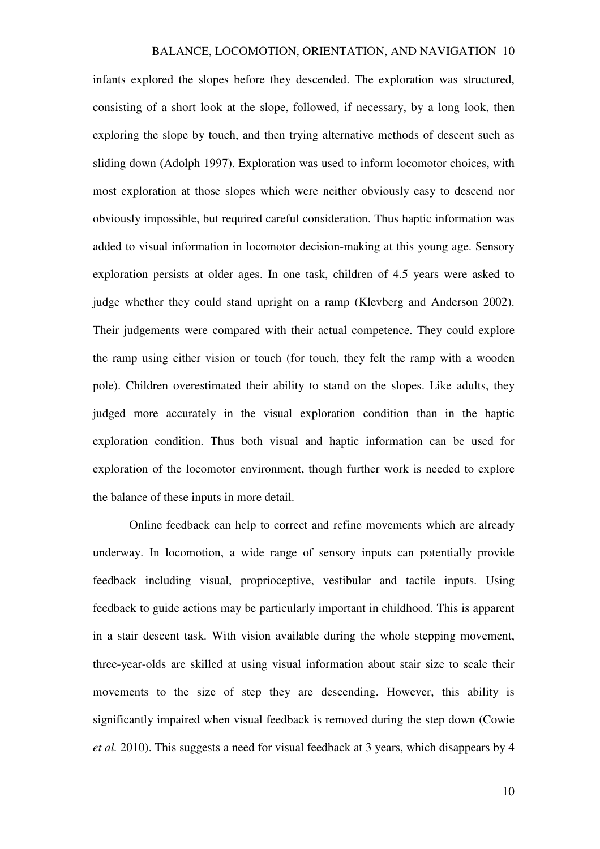infants explored the slopes before they descended. The exploration was structured, consisting of a short look at the slope, followed, if necessary, by a long look, then exploring the slope by touch, and then trying alternative methods of descent such as sliding down (Adolph 1997). Exploration was used to inform locomotor choices, with most exploration at those slopes which were neither obviously easy to descend nor obviously impossible, but required careful consideration. Thus haptic information was added to visual information in locomotor decision-making at this young age. Sensory exploration persists at older ages. In one task, children of 4.5 years were asked to judge whether they could stand upright on a ramp (Klevberg and Anderson 2002). Their judgements were compared with their actual competence. They could explore the ramp using either vision or touch (for touch, they felt the ramp with a wooden pole). Children overestimated their ability to stand on the slopes. Like adults, they judged more accurately in the visual exploration condition than in the haptic exploration condition. Thus both visual and haptic information can be used for exploration of the locomotor environment, though further work is needed to explore the balance of these inputs in more detail.

Online feedback can help to correct and refine movements which are already underway. In locomotion, a wide range of sensory inputs can potentially provide feedback including visual, proprioceptive, vestibular and tactile inputs. Using feedback to guide actions may be particularly important in childhood. This is apparent in a stair descent task. With vision available during the whole stepping movement, three-year-olds are skilled at using visual information about stair size to scale their movements to the size of step they are descending. However, this ability is significantly impaired when visual feedback is removed during the step down (Cowie *et al.* 2010). This suggests a need for visual feedback at 3 years, which disappears by 4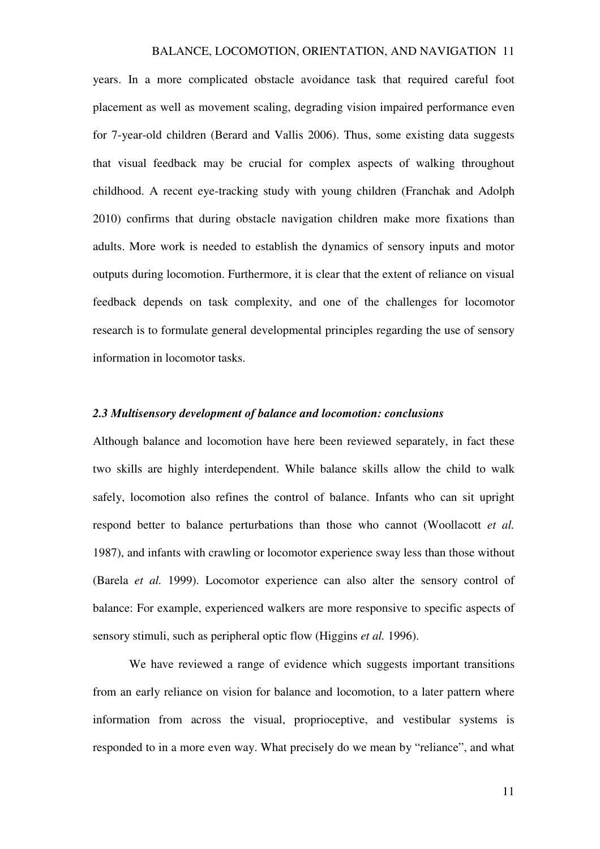years. In a more complicated obstacle avoidance task that required careful foot placement as well as movement scaling, degrading vision impaired performance even for 7-year-old children (Berard and Vallis 2006). Thus, some existing data suggests that visual feedback may be crucial for complex aspects of walking throughout childhood. A recent eye-tracking study with young children (Franchak and Adolph 2010) confirms that during obstacle navigation children make more fixations than adults. More work is needed to establish the dynamics of sensory inputs and motor outputs during locomotion. Furthermore, it is clear that the extent of reliance on visual feedback depends on task complexity, and one of the challenges for locomotor research is to formulate general developmental principles regarding the use of sensory information in locomotor tasks.

#### *2.3 Multisensory development of balance and locomotion: conclusions*

Although balance and locomotion have here been reviewed separately, in fact these two skills are highly interdependent. While balance skills allow the child to walk safely, locomotion also refines the control of balance. Infants who can sit upright respond better to balance perturbations than those who cannot (Woollacott *et al.* 1987), and infants with crawling or locomotor experience sway less than those without (Barela *et al.* 1999). Locomotor experience can also alter the sensory control of balance: For example, experienced walkers are more responsive to specific aspects of sensory stimuli, such as peripheral optic flow (Higgins *et al.* 1996).

We have reviewed a range of evidence which suggests important transitions from an early reliance on vision for balance and locomotion, to a later pattern where information from across the visual, proprioceptive, and vestibular systems is responded to in a more even way. What precisely do we mean by "reliance", and what

11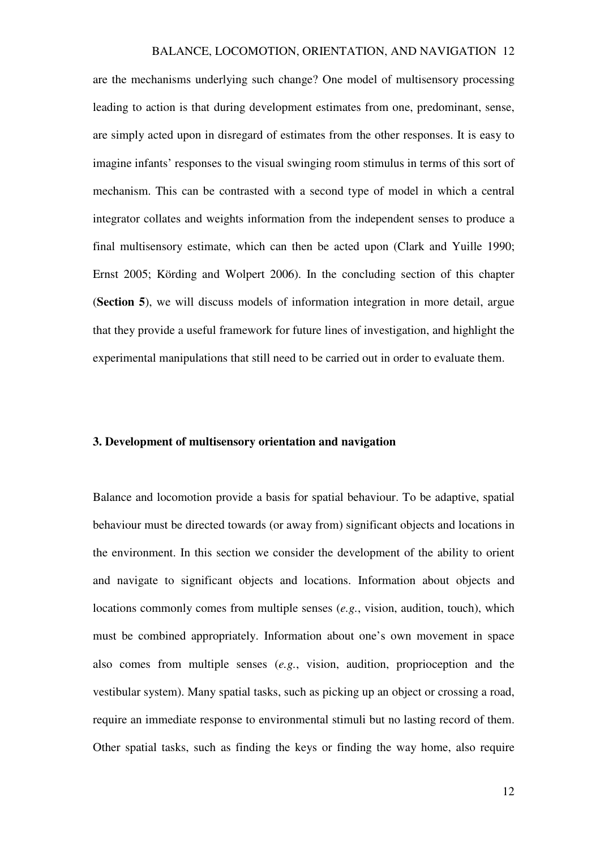are the mechanisms underlying such change? One model of multisensory processing leading to action is that during development estimates from one, predominant, sense, are simply acted upon in disregard of estimates from the other responses. It is easy to imagine infants' responses to the visual swinging room stimulus in terms of this sort of mechanism. This can be contrasted with a second type of model in which a central integrator collates and weights information from the independent senses to produce a final multisensory estimate, which can then be acted upon (Clark and Yuille 1990; Ernst 2005; Körding and Wolpert 2006). In the concluding section of this chapter (**Section 5**), we will discuss models of information integration in more detail, argue that they provide a useful framework for future lines of investigation, and highlight the experimental manipulations that still need to be carried out in order to evaluate them.

#### **3. Development of multisensory orientation and navigation**

Balance and locomotion provide a basis for spatial behaviour. To be adaptive, spatial behaviour must be directed towards (or away from) significant objects and locations in the environment. In this section we consider the development of the ability to orient and navigate to significant objects and locations. Information about objects and locations commonly comes from multiple senses (*e.g.*, vision, audition, touch), which must be combined appropriately. Information about one's own movement in space also comes from multiple senses (*e.g.*, vision, audition, proprioception and the vestibular system). Many spatial tasks, such as picking up an object or crossing a road, require an immediate response to environmental stimuli but no lasting record of them. Other spatial tasks, such as finding the keys or finding the way home, also require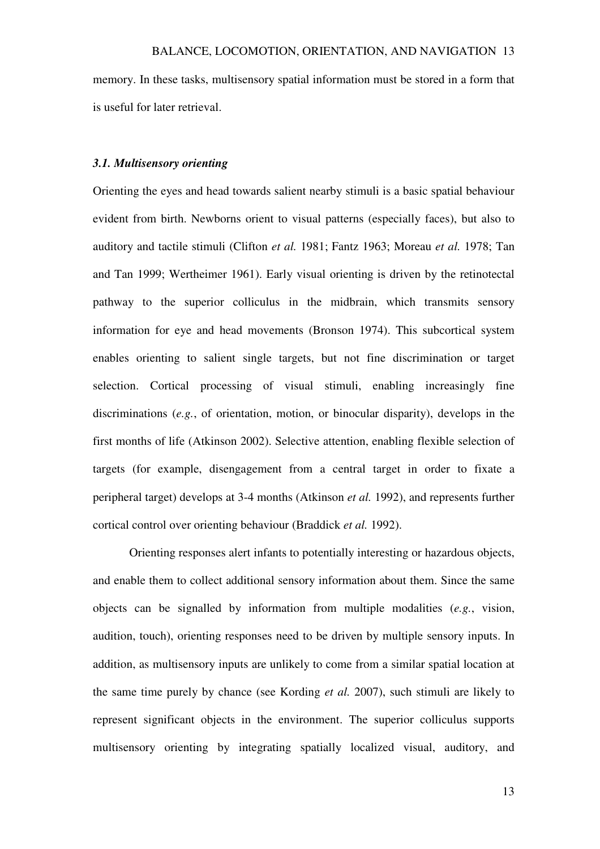memory. In these tasks, multisensory spatial information must be stored in a form that is useful for later retrieval.

#### *3.1. Multisensory orienting*

Orienting the eyes and head towards salient nearby stimuli is a basic spatial behaviour evident from birth. Newborns orient to visual patterns (especially faces), but also to auditory and tactile stimuli (Clifton *et al.* 1981; Fantz 1963; Moreau *et al.* 1978; Tan and Tan 1999; Wertheimer 1961). Early visual orienting is driven by the retinotectal pathway to the superior colliculus in the midbrain, which transmits sensory information for eye and head movements (Bronson 1974). This subcortical system enables orienting to salient single targets, but not fine discrimination or target selection. Cortical processing of visual stimuli, enabling increasingly fine discriminations (*e.g.*, of orientation, motion, or binocular disparity), develops in the first months of life (Atkinson 2002). Selective attention, enabling flexible selection of targets (for example, disengagement from a central target in order to fixate a peripheral target) develops at 3-4 months (Atkinson *et al.* 1992), and represents further cortical control over orienting behaviour (Braddick *et al.* 1992).

Orienting responses alert infants to potentially interesting or hazardous objects, and enable them to collect additional sensory information about them. Since the same objects can be signalled by information from multiple modalities (*e.g.*, vision, audition, touch), orienting responses need to be driven by multiple sensory inputs. In addition, as multisensory inputs are unlikely to come from a similar spatial location at the same time purely by chance (see Kording *et al.* 2007), such stimuli are likely to represent significant objects in the environment. The superior colliculus supports multisensory orienting by integrating spatially localized visual, auditory, and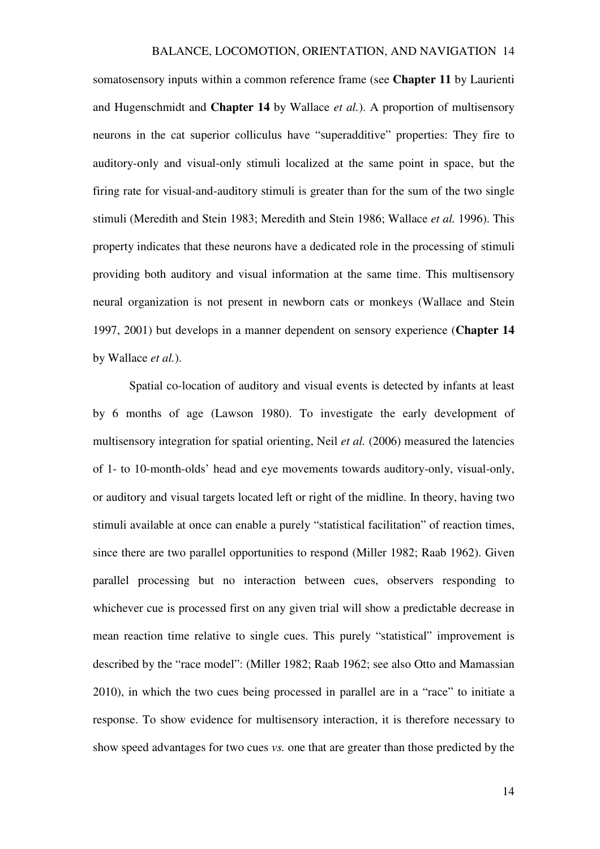somatosensory inputs within a common reference frame (see **Chapter 11** by Laurienti and Hugenschmidt and **Chapter 14** by Wallace *et al.*). A proportion of multisensory neurons in the cat superior colliculus have "superadditive" properties: They fire to auditory-only and visual-only stimuli localized at the same point in space, but the firing rate for visual-and-auditory stimuli is greater than for the sum of the two single stimuli (Meredith and Stein 1983; Meredith and Stein 1986; Wallace *et al.* 1996). This property indicates that these neurons have a dedicated role in the processing of stimuli providing both auditory and visual information at the same time. This multisensory neural organization is not present in newborn cats or monkeys (Wallace and Stein 1997, 2001) but develops in a manner dependent on sensory experience (**Chapter 14**  by Wallace *et al.*).

Spatial co-location of auditory and visual events is detected by infants at least by 6 months of age (Lawson 1980). To investigate the early development of multisensory integration for spatial orienting, Neil *et al.* (2006) measured the latencies of 1- to 10-month-olds' head and eye movements towards auditory-only, visual-only, or auditory and visual targets located left or right of the midline. In theory, having two stimuli available at once can enable a purely "statistical facilitation" of reaction times, since there are two parallel opportunities to respond (Miller 1982; Raab 1962). Given parallel processing but no interaction between cues, observers responding to whichever cue is processed first on any given trial will show a predictable decrease in mean reaction time relative to single cues. This purely "statistical" improvement is described by the "race model": (Miller 1982; Raab 1962; see also Otto and Mamassian 2010), in which the two cues being processed in parallel are in a "race" to initiate a response. To show evidence for multisensory interaction, it is therefore necessary to show speed advantages for two cues *vs.* one that are greater than those predicted by the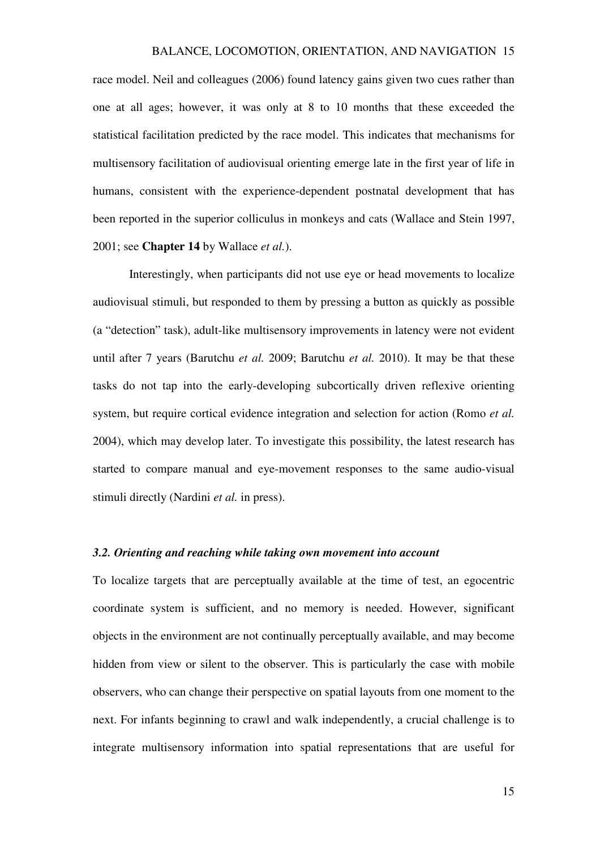race model. Neil and colleagues (2006) found latency gains given two cues rather than one at all ages; however, it was only at 8 to 10 months that these exceeded the statistical facilitation predicted by the race model. This indicates that mechanisms for multisensory facilitation of audiovisual orienting emerge late in the first year of life in humans, consistent with the experience-dependent postnatal development that has been reported in the superior colliculus in monkeys and cats (Wallace and Stein 1997, 2001; see **Chapter 14** by Wallace *et al.*).

Interestingly, when participants did not use eye or head movements to localize audiovisual stimuli, but responded to them by pressing a button as quickly as possible (a "detection" task), adult-like multisensory improvements in latency were not evident until after 7 years (Barutchu *et al.* 2009; Barutchu *et al.* 2010). It may be that these tasks do not tap into the early-developing subcortically driven reflexive orienting system, but require cortical evidence integration and selection for action (Romo *et al.* 2004), which may develop later. To investigate this possibility, the latest research has started to compare manual and eye-movement responses to the same audio-visual stimuli directly (Nardini *et al.* in press).

## *3.2. Orienting and reaching while taking own movement into account*

To localize targets that are perceptually available at the time of test, an egocentric coordinate system is sufficient, and no memory is needed. However, significant objects in the environment are not continually perceptually available, and may become hidden from view or silent to the observer. This is particularly the case with mobile observers, who can change their perspective on spatial layouts from one moment to the next. For infants beginning to crawl and walk independently, a crucial challenge is to integrate multisensory information into spatial representations that are useful for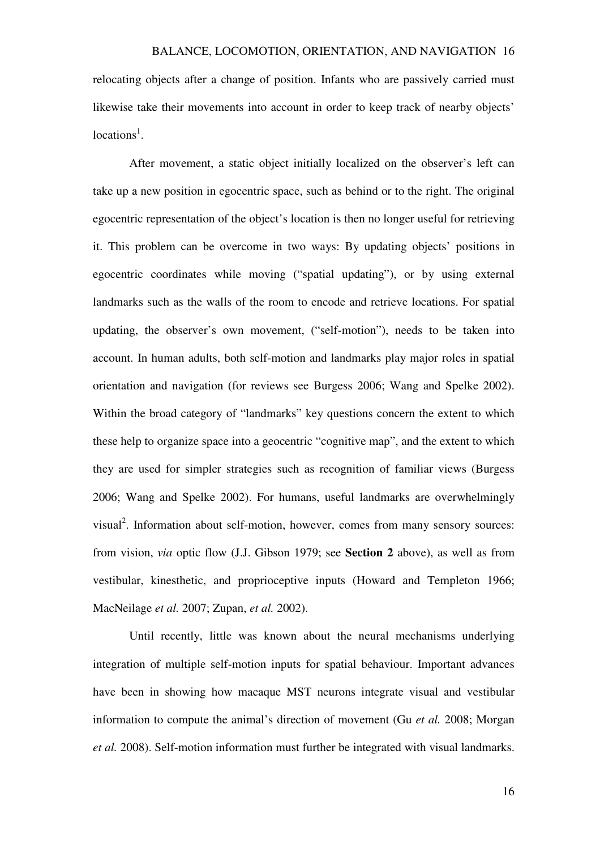relocating objects after a change of position. Infants who are passively carried must likewise take their movements into account in order to keep track of nearby objects'  $locations<sup>1</sup>$ .

After movement, a static object initially localized on the observer's left can take up a new position in egocentric space, such as behind or to the right. The original egocentric representation of the object's location is then no longer useful for retrieving it. This problem can be overcome in two ways: By updating objects' positions in egocentric coordinates while moving ("spatial updating"), or by using external landmarks such as the walls of the room to encode and retrieve locations. For spatial updating, the observer's own movement, ("self-motion"), needs to be taken into account. In human adults, both self-motion and landmarks play major roles in spatial orientation and navigation (for reviews see Burgess 2006; Wang and Spelke 2002). Within the broad category of "landmarks" key questions concern the extent to which these help to organize space into a geocentric "cognitive map", and the extent to which they are used for simpler strategies such as recognition of familiar views (Burgess 2006; Wang and Spelke 2002). For humans, useful landmarks are overwhelmingly visual<sup>2</sup>. Information about self-motion, however, comes from many sensory sources: from vision, *via* optic flow (J.J. Gibson 1979; see **Section 2** above), as well as from vestibular, kinesthetic, and proprioceptive inputs (Howard and Templeton 1966; MacNeilage *et al.* 2007; Zupan, *et al.* 2002).

Until recently, little was known about the neural mechanisms underlying integration of multiple self-motion inputs for spatial behaviour. Important advances have been in showing how macaque MST neurons integrate visual and vestibular information to compute the animal's direction of movement (Gu *et al.* 2008; Morgan *et al.* 2008). Self-motion information must further be integrated with visual landmarks.

16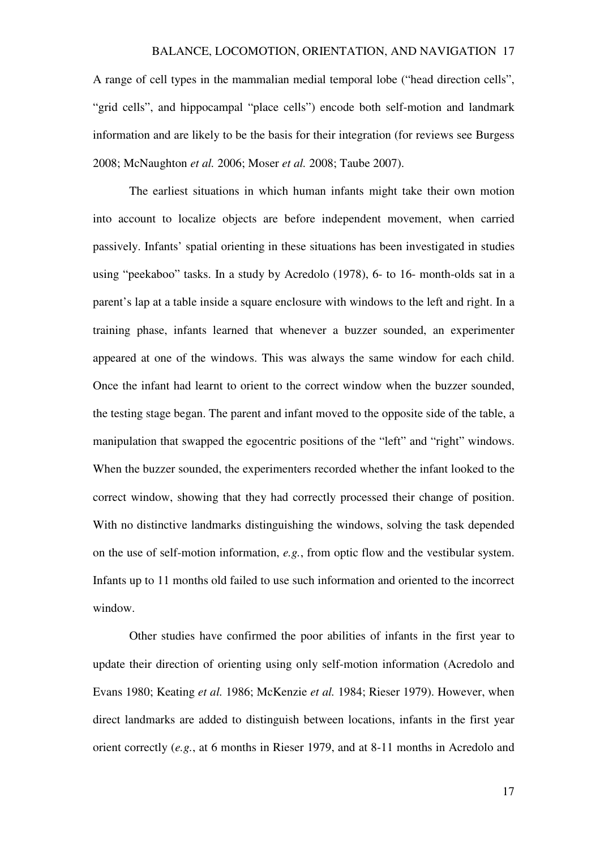A range of cell types in the mammalian medial temporal lobe ("head direction cells", "grid cells", and hippocampal "place cells") encode both self-motion and landmark information and are likely to be the basis for their integration (for reviews see Burgess 2008; McNaughton *et al.* 2006; Moser *et al.* 2008; Taube 2007).

The earliest situations in which human infants might take their own motion into account to localize objects are before independent movement, when carried passively. Infants' spatial orienting in these situations has been investigated in studies using "peekaboo" tasks. In a study by Acredolo (1978), 6- to 16- month-olds sat in a parent's lap at a table inside a square enclosure with windows to the left and right. In a training phase, infants learned that whenever a buzzer sounded, an experimenter appeared at one of the windows. This was always the same window for each child. Once the infant had learnt to orient to the correct window when the buzzer sounded, the testing stage began. The parent and infant moved to the opposite side of the table, a manipulation that swapped the egocentric positions of the "left" and "right" windows. When the buzzer sounded, the experimenters recorded whether the infant looked to the correct window, showing that they had correctly processed their change of position. With no distinctive landmarks distinguishing the windows, solving the task depended on the use of self-motion information, *e.g.*, from optic flow and the vestibular system. Infants up to 11 months old failed to use such information and oriented to the incorrect window.

Other studies have confirmed the poor abilities of infants in the first year to update their direction of orienting using only self-motion information (Acredolo and Evans 1980; Keating *et al.* 1986; McKenzie *et al.* 1984; Rieser 1979). However, when direct landmarks are added to distinguish between locations, infants in the first year orient correctly (*e.g.*, at 6 months in Rieser 1979, and at 8-11 months in Acredolo and

17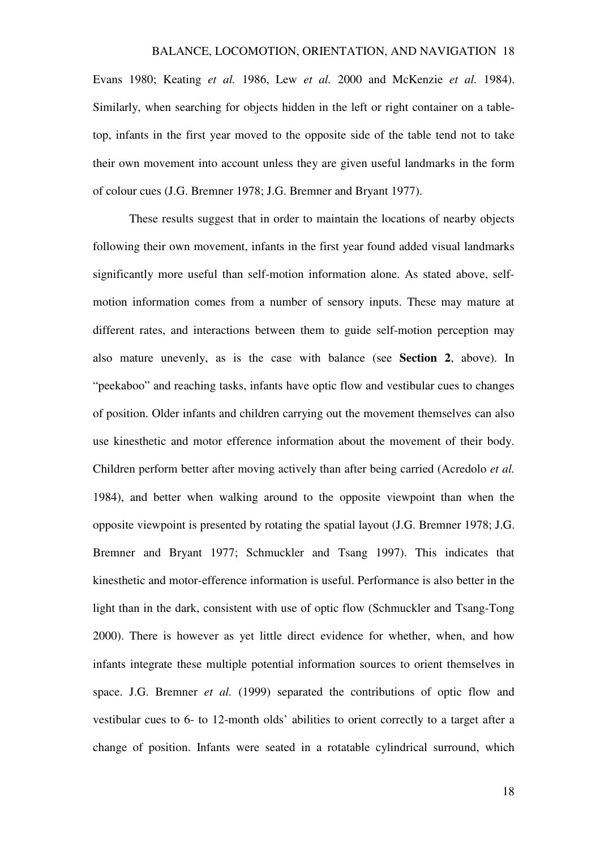Evans 1980; Keating *et al.* 1986, Lew *et al.* 2000 and McKenzie *et al.* 1984). Similarly, when searching for objects hidden in the left or right container on a tabletop, infants in the first year moved to the opposite side of the table tend not to take their own movement into account unless they are given useful landmarks in the form of colour cues (J.G. Bremner 1978; J.G. Bremner and Bryant 1977).

These results suggest that in order to maintain the locations of nearby objects following their own movement, infants in the first year found added visual landmarks significantly more useful than self-motion information alone. As stated above, selfmotion information comes from a number of sensory inputs. These may mature at different rates, and interactions between them to guide self-motion perception may also mature unevenly, as is the case with balance (see **Section 2**, above). In "peekaboo" and reaching tasks, infants have optic flow and vestibular cues to changes of position. Older infants and children carrying out the movement themselves can also use kinesthetic and motor efference information about the movement of their body. Children perform better after moving actively than after being carried (Acredolo *et al.* 1984), and better when walking around to the opposite viewpoint than when the opposite viewpoint is presented by rotating the spatial layout (J.G. Bremner 1978; J.G. Bremner and Bryant 1977; Schmuckler and Tsang 1997). This indicates that kinesthetic and motor-efference information is useful. Performance is also better in the light than in the dark, consistent with use of optic flow (Schmuckler and Tsang-Tong 2000). There is however as yet little direct evidence for whether, when, and how infants integrate these multiple potential information sources to orient themselves in space. J.G. Bremner *et al.* (1999) separated the contributions of optic flow and vestibular cues to 6- to 12-month olds' abilities to orient correctly to a target after a change of position. Infants were seated in a rotatable cylindrical surround, which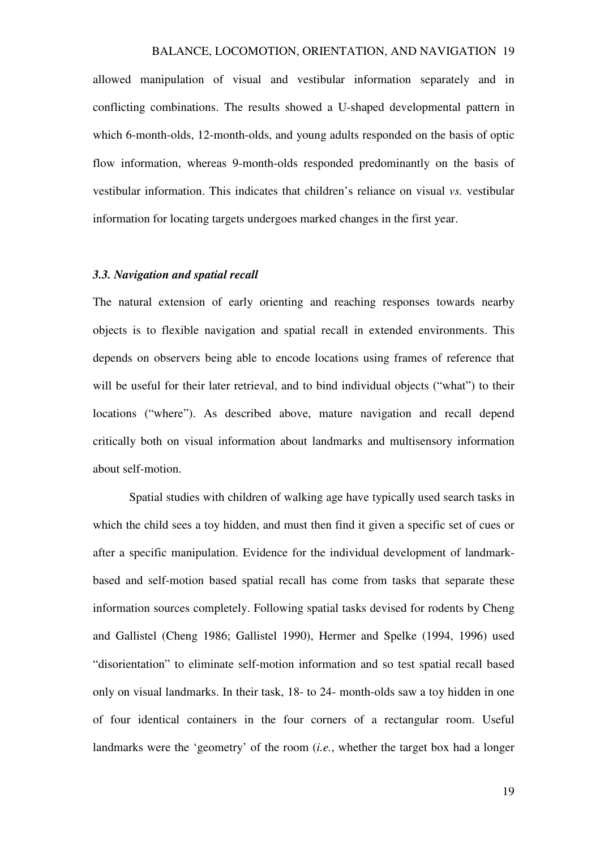allowed manipulation of visual and vestibular information separately and in conflicting combinations. The results showed a U-shaped developmental pattern in which 6-month-olds, 12-month-olds, and young adults responded on the basis of optic flow information, whereas 9-month-olds responded predominantly on the basis of vestibular information. This indicates that children's reliance on visual *vs.* vestibular information for locating targets undergoes marked changes in the first year.

#### *3.3. Navigation and spatial recall*

The natural extension of early orienting and reaching responses towards nearby objects is to flexible navigation and spatial recall in extended environments. This depends on observers being able to encode locations using frames of reference that will be useful for their later retrieval, and to bind individual objects ("what") to their locations ("where"). As described above, mature navigation and recall depend critically both on visual information about landmarks and multisensory information about self-motion.

Spatial studies with children of walking age have typically used search tasks in which the child sees a toy hidden, and must then find it given a specific set of cues or after a specific manipulation. Evidence for the individual development of landmarkbased and self-motion based spatial recall has come from tasks that separate these information sources completely. Following spatial tasks devised for rodents by Cheng and Gallistel (Cheng 1986; Gallistel 1990), Hermer and Spelke (1994, 1996) used "disorientation" to eliminate self-motion information and so test spatial recall based only on visual landmarks. In their task, 18- to 24- month-olds saw a toy hidden in one of four identical containers in the four corners of a rectangular room. Useful landmarks were the 'geometry' of the room (*i.e.*, whether the target box had a longer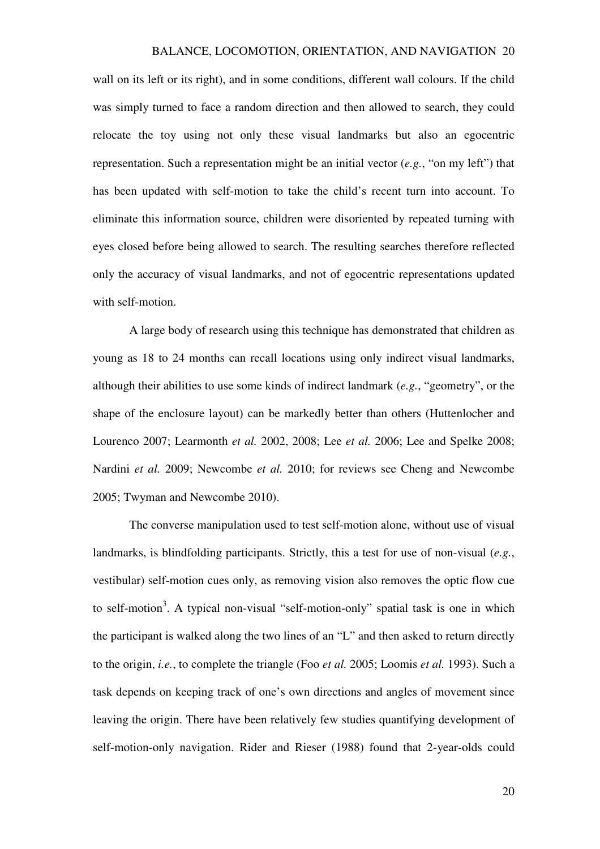wall on its left or its right), and in some conditions, different wall colours. If the child was simply turned to face a random direction and then allowed to search, they could relocate the toy using not only these visual landmarks but also an egocentric representation. Such a representation might be an initial vector (*e.g.*, "on my left") that has been updated with self-motion to take the child's recent turn into account. To eliminate this information source, children were disoriented by repeated turning with eyes closed before being allowed to search. The resulting searches therefore reflected only the accuracy of visual landmarks, and not of egocentric representations updated with self-motion.

A large body of research using this technique has demonstrated that children as young as 18 to 24 months can recall locations using only indirect visual landmarks, although their abilities to use some kinds of indirect landmark (*e.g.*, "geometry", or the shape of the enclosure layout) can be markedly better than others (Huttenlocher and Lourenco 2007; Learmonth *et al.* 2002, 2008; Lee *et al.* 2006; Lee and Spelke 2008; Nardini *et al.* 2009; Newcombe *et al.* 2010; for reviews see Cheng and Newcombe 2005; Twyman and Newcombe 2010).

The converse manipulation used to test self-motion alone, without use of visual landmarks, is blindfolding participants. Strictly, this a test for use of non-visual (*e.g.*, vestibular) self-motion cues only, as removing vision also removes the optic flow cue to self-motion<sup>3</sup>. A typical non-visual "self-motion-only" spatial task is one in which the participant is walked along the two lines of an "L" and then asked to return directly to the origin, *i.e.*, to complete the triangle (Foo *et al.* 2005; Loomis *et al.* 1993). Such a task depends on keeping track of one's own directions and angles of movement since leaving the origin. There have been relatively few studies quantifying development of self-motion-only navigation. Rider and Rieser (1988) found that 2-year-olds could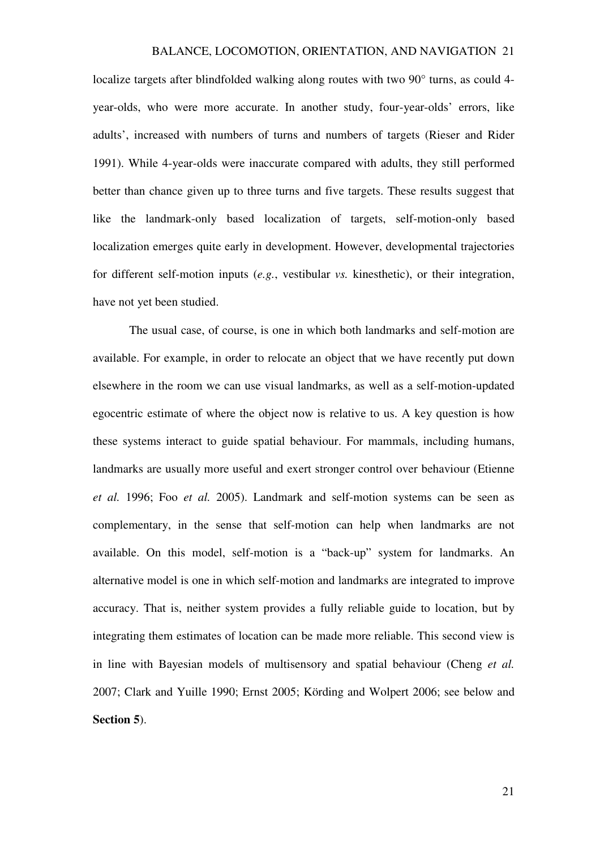localize targets after blindfolded walking along routes with two 90° turns, as could 4 year-olds, who were more accurate. In another study, four-year-olds' errors, like adults', increased with numbers of turns and numbers of targets (Rieser and Rider 1991). While 4-year-olds were inaccurate compared with adults, they still performed better than chance given up to three turns and five targets. These results suggest that like the landmark-only based localization of targets, self-motion-only based localization emerges quite early in development. However, developmental trajectories for different self-motion inputs (*e.g.*, vestibular *vs.* kinesthetic), or their integration, have not yet been studied.

The usual case, of course, is one in which both landmarks and self-motion are available. For example, in order to relocate an object that we have recently put down elsewhere in the room we can use visual landmarks, as well as a self-motion-updated egocentric estimate of where the object now is relative to us. A key question is how these systems interact to guide spatial behaviour. For mammals, including humans, landmarks are usually more useful and exert stronger control over behaviour (Etienne *et al.* 1996; Foo *et al.* 2005). Landmark and self-motion systems can be seen as complementary, in the sense that self-motion can help when landmarks are not available. On this model, self-motion is a "back-up" system for landmarks. An alternative model is one in which self-motion and landmarks are integrated to improve accuracy. That is, neither system provides a fully reliable guide to location, but by integrating them estimates of location can be made more reliable. This second view is in line with Bayesian models of multisensory and spatial behaviour (Cheng *et al.* 2007; Clark and Yuille 1990; Ernst 2005; Körding and Wolpert 2006; see below and **Section 5**).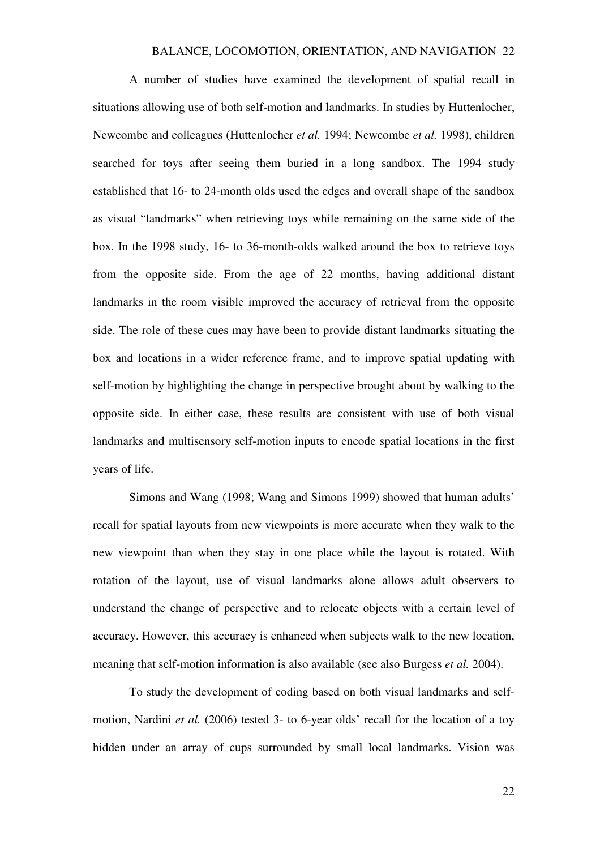A number of studies have examined the development of spatial recall in situations allowing use of both self-motion and landmarks. In studies by Huttenlocher, Newcombe and colleagues (Huttenlocher *et al.* 1994; Newcombe *et al.* 1998), children searched for toys after seeing them buried in a long sandbox. The 1994 study established that 16- to 24-month olds used the edges and overall shape of the sandbox as visual "landmarks" when retrieving toys while remaining on the same side of the box. In the 1998 study, 16- to 36-month-olds walked around the box to retrieve toys from the opposite side. From the age of 22 months, having additional distant landmarks in the room visible improved the accuracy of retrieval from the opposite side. The role of these cues may have been to provide distant landmarks situating the box and locations in a wider reference frame, and to improve spatial updating with self-motion by highlighting the change in perspective brought about by walking to the opposite side. In either case, these results are consistent with use of both visual landmarks and multisensory self-motion inputs to encode spatial locations in the first years of life.

Simons and Wang (1998; Wang and Simons 1999) showed that human adults' recall for spatial layouts from new viewpoints is more accurate when they walk to the new viewpoint than when they stay in one place while the layout is rotated. With rotation of the layout, use of visual landmarks alone allows adult observers to understand the change of perspective and to relocate objects with a certain level of accuracy. However, this accuracy is enhanced when subjects walk to the new location, meaning that self-motion information is also available (see also Burgess *et al.* 2004).

To study the development of coding based on both visual landmarks and selfmotion, Nardini *et al.* (2006) tested 3- to 6-year olds' recall for the location of a toy hidden under an array of cups surrounded by small local landmarks. Vision was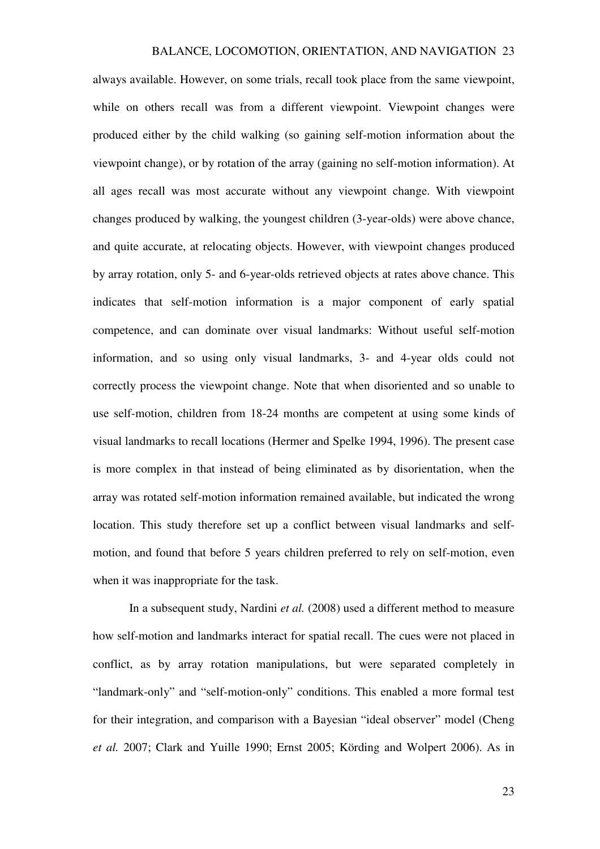always available. However, on some trials, recall took place from the same viewpoint, while on others recall was from a different viewpoint. Viewpoint changes were produced either by the child walking (so gaining self-motion information about the viewpoint change), or by rotation of the array (gaining no self-motion information). At all ages recall was most accurate without any viewpoint change. With viewpoint changes produced by walking, the youngest children (3-year-olds) were above chance, and quite accurate, at relocating objects. However, with viewpoint changes produced by array rotation, only 5- and 6-year-olds retrieved objects at rates above chance. This indicates that self-motion information is a major component of early spatial competence, and can dominate over visual landmarks: Without useful self-motion information, and so using only visual landmarks, 3- and 4-year olds could not correctly process the viewpoint change. Note that when disoriented and so unable to use self-motion, children from 18-24 months are competent at using some kinds of visual landmarks to recall locations (Hermer and Spelke 1994, 1996). The present case is more complex in that instead of being eliminated as by disorientation, when the array was rotated self-motion information remained available, but indicated the wrong location. This study therefore set up a conflict between visual landmarks and selfmotion, and found that before 5 years children preferred to rely on self-motion, even when it was inappropriate for the task.

In a subsequent study, Nardini *et al.* (2008) used a different method to measure how self-motion and landmarks interact for spatial recall. The cues were not placed in conflict, as by array rotation manipulations, but were separated completely in "landmark-only" and "self-motion-only" conditions. This enabled a more formal test for their integration, and comparison with a Bayesian "ideal observer" model (Cheng *et al.* 2007; Clark and Yuille 1990; Ernst 2005; Körding and Wolpert 2006). As in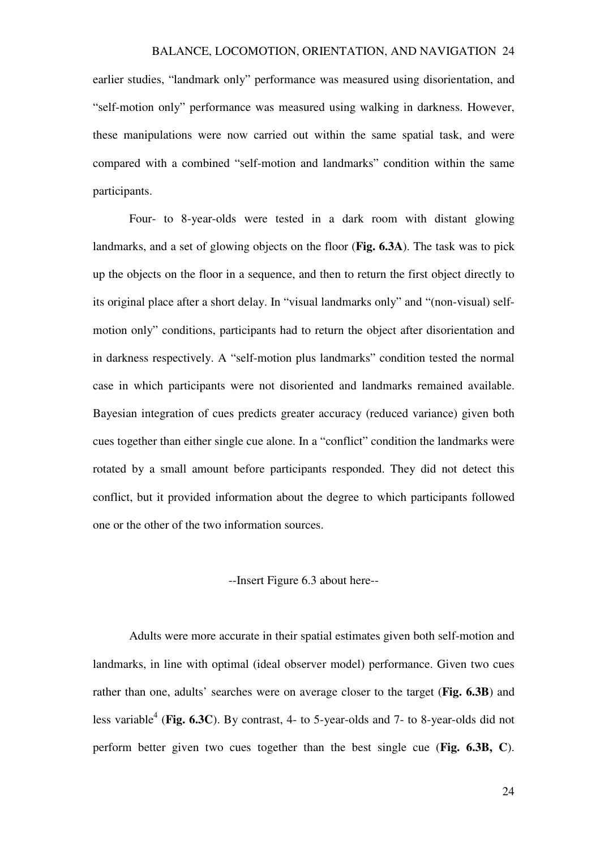earlier studies, "landmark only" performance was measured using disorientation, and "self-motion only" performance was measured using walking in darkness. However, these manipulations were now carried out within the same spatial task, and were compared with a combined "self-motion and landmarks" condition within the same participants.

Four- to 8-year-olds were tested in a dark room with distant glowing landmarks, and a set of glowing objects on the floor (**Fig. 6.3A**). The task was to pick up the objects on the floor in a sequence, and then to return the first object directly to its original place after a short delay. In "visual landmarks only" and "(non-visual) selfmotion only" conditions, participants had to return the object after disorientation and in darkness respectively. A "self-motion plus landmarks" condition tested the normal case in which participants were not disoriented and landmarks remained available. Bayesian integration of cues predicts greater accuracy (reduced variance) given both cues together than either single cue alone. In a "conflict" condition the landmarks were rotated by a small amount before participants responded. They did not detect this conflict, but it provided information about the degree to which participants followed one or the other of the two information sources.

## --Insert Figure 6.3 about here--

Adults were more accurate in their spatial estimates given both self-motion and landmarks, in line with optimal (ideal observer model) performance. Given two cues rather than one, adults' searches were on average closer to the target (**Fig. 6.3B**) and less variable<sup>4</sup> (Fig. 6.3C). By contrast, 4- to 5-year-olds and 7- to 8-year-olds did not perform better given two cues together than the best single cue (**Fig. 6.3B, C**).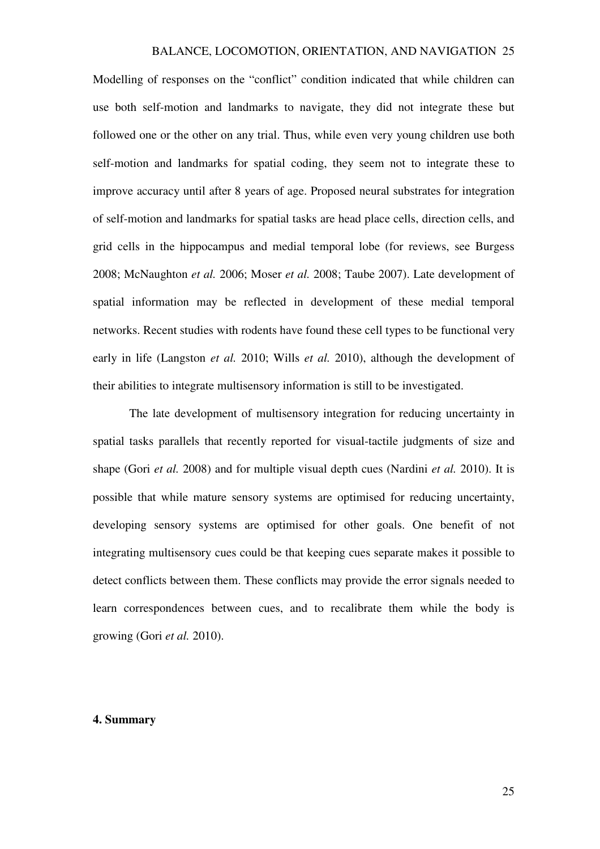Modelling of responses on the "conflict" condition indicated that while children can use both self-motion and landmarks to navigate, they did not integrate these but followed one or the other on any trial. Thus, while even very young children use both self-motion and landmarks for spatial coding, they seem not to integrate these to improve accuracy until after 8 years of age. Proposed neural substrates for integration of self-motion and landmarks for spatial tasks are head place cells, direction cells, and grid cells in the hippocampus and medial temporal lobe (for reviews, see Burgess 2008; McNaughton *et al.* 2006; Moser *et al.* 2008; Taube 2007). Late development of spatial information may be reflected in development of these medial temporal networks. Recent studies with rodents have found these cell types to be functional very early in life (Langston *et al.* 2010; Wills *et al.* 2010), although the development of their abilities to integrate multisensory information is still to be investigated.

The late development of multisensory integration for reducing uncertainty in spatial tasks parallels that recently reported for visual-tactile judgments of size and shape (Gori *et al.* 2008) and for multiple visual depth cues (Nardini *et al.* 2010). It is possible that while mature sensory systems are optimised for reducing uncertainty, developing sensory systems are optimised for other goals. One benefit of not integrating multisensory cues could be that keeping cues separate makes it possible to detect conflicts between them. These conflicts may provide the error signals needed to learn correspondences between cues, and to recalibrate them while the body is growing (Gori *et al.* 2010).

#### **4. Summary**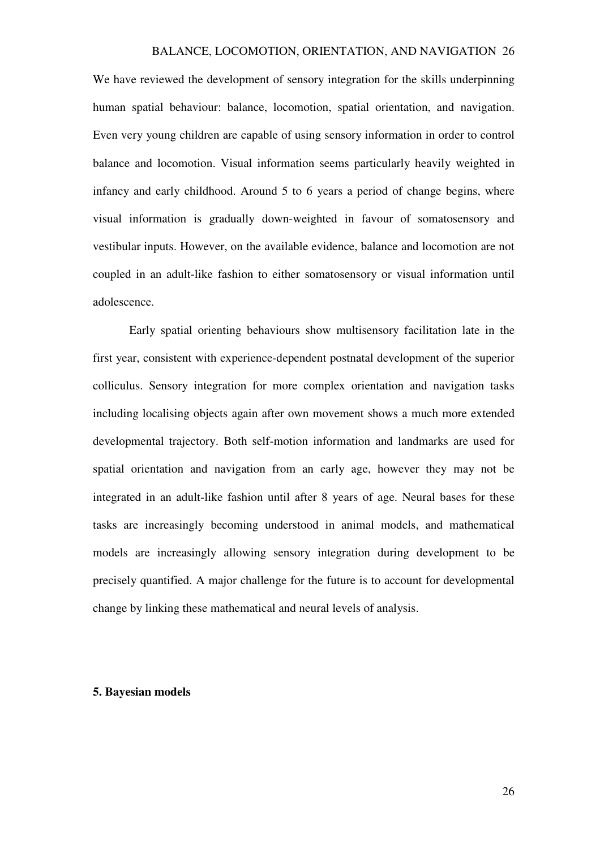We have reviewed the development of sensory integration for the skills underpinning human spatial behaviour: balance, locomotion, spatial orientation, and navigation. Even very young children are capable of using sensory information in order to control balance and locomotion. Visual information seems particularly heavily weighted in infancy and early childhood. Around 5 to 6 years a period of change begins, where visual information is gradually down-weighted in favour of somatosensory and vestibular inputs. However, on the available evidence, balance and locomotion are not coupled in an adult-like fashion to either somatosensory or visual information until adolescence.

Early spatial orienting behaviours show multisensory facilitation late in the first year, consistent with experience-dependent postnatal development of the superior colliculus. Sensory integration for more complex orientation and navigation tasks including localising objects again after own movement shows a much more extended developmental trajectory. Both self-motion information and landmarks are used for spatial orientation and navigation from an early age, however they may not be integrated in an adult-like fashion until after 8 years of age. Neural bases for these tasks are increasingly becoming understood in animal models, and mathematical models are increasingly allowing sensory integration during development to be precisely quantified. A major challenge for the future is to account for developmental change by linking these mathematical and neural levels of analysis.

## **5. Bayesian models**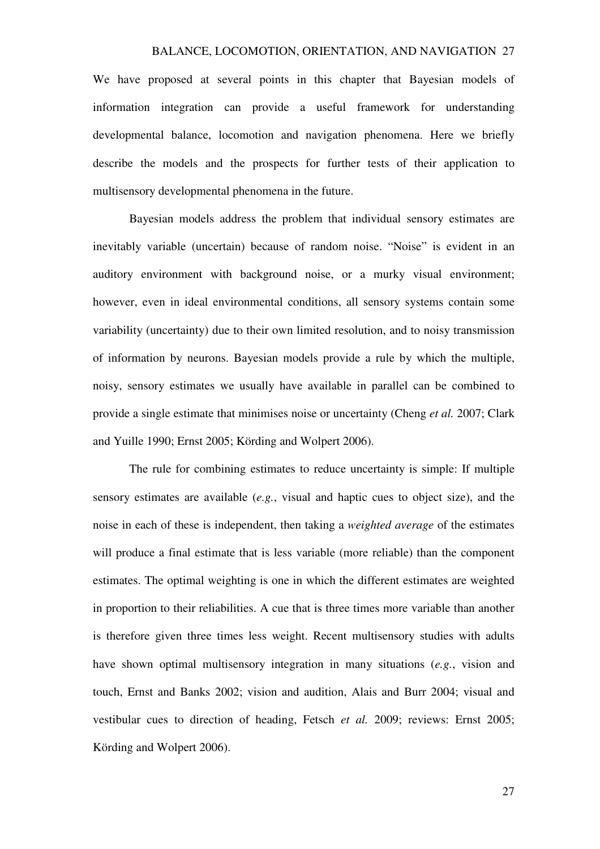We have proposed at several points in this chapter that Bayesian models of information integration can provide a useful framework for understanding developmental balance, locomotion and navigation phenomena. Here we briefly describe the models and the prospects for further tests of their application to multisensory developmental phenomena in the future.

Bayesian models address the problem that individual sensory estimates are inevitably variable (uncertain) because of random noise. "Noise" is evident in an auditory environment with background noise, or a murky visual environment; however, even in ideal environmental conditions, all sensory systems contain some variability (uncertainty) due to their own limited resolution, and to noisy transmission of information by neurons. Bayesian models provide a rule by which the multiple, noisy, sensory estimates we usually have available in parallel can be combined to provide a single estimate that minimises noise or uncertainty (Cheng *et al.* 2007; Clark and Yuille 1990; Ernst 2005; Körding and Wolpert 2006).

The rule for combining estimates to reduce uncertainty is simple: If multiple sensory estimates are available (*e.g.*, visual and haptic cues to object size), and the noise in each of these is independent, then taking a *weighted average* of the estimates will produce a final estimate that is less variable (more reliable) than the component estimates. The optimal weighting is one in which the different estimates are weighted in proportion to their reliabilities. A cue that is three times more variable than another is therefore given three times less weight. Recent multisensory studies with adults have shown optimal multisensory integration in many situations (*e.g.*, vision and touch, Ernst and Banks 2002; vision and audition, Alais and Burr 2004; visual and vestibular cues to direction of heading, Fetsch *et al.* 2009; reviews: Ernst 2005; Körding and Wolpert 2006).

27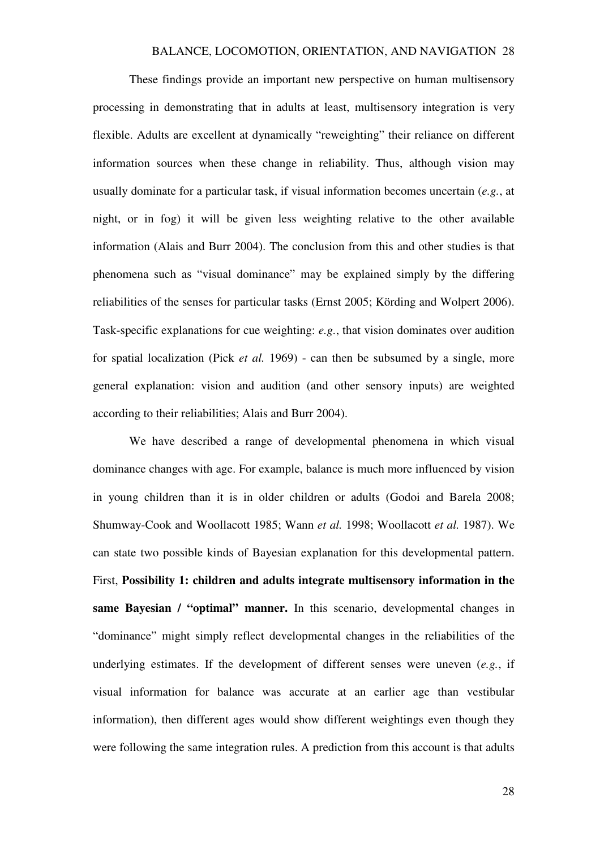These findings provide an important new perspective on human multisensory processing in demonstrating that in adults at least, multisensory integration is very flexible. Adults are excellent at dynamically "reweighting" their reliance on different information sources when these change in reliability. Thus, although vision may usually dominate for a particular task, if visual information becomes uncertain (*e.g.*, at night, or in fog) it will be given less weighting relative to the other available information (Alais and Burr 2004). The conclusion from this and other studies is that phenomena such as "visual dominance" may be explained simply by the differing reliabilities of the senses for particular tasks (Ernst 2005; Körding and Wolpert 2006). Task-specific explanations for cue weighting: *e.g.*, that vision dominates over audition for spatial localization (Pick *et al.* 1969) - can then be subsumed by a single, more general explanation: vision and audition (and other sensory inputs) are weighted according to their reliabilities; Alais and Burr 2004).

We have described a range of developmental phenomena in which visual dominance changes with age. For example, balance is much more influenced by vision in young children than it is in older children or adults (Godoi and Barela 2008; Shumway-Cook and Woollacott 1985; Wann *et al.* 1998; Woollacott *et al.* 1987). We can state two possible kinds of Bayesian explanation for this developmental pattern. First, **Possibility 1: children and adults integrate multisensory information in the same Bayesian / "optimal" manner.** In this scenario, developmental changes in "dominance" might simply reflect developmental changes in the reliabilities of the underlying estimates. If the development of different senses were uneven (*e.g.*, if visual information for balance was accurate at an earlier age than vestibular information), then different ages would show different weightings even though they were following the same integration rules. A prediction from this account is that adults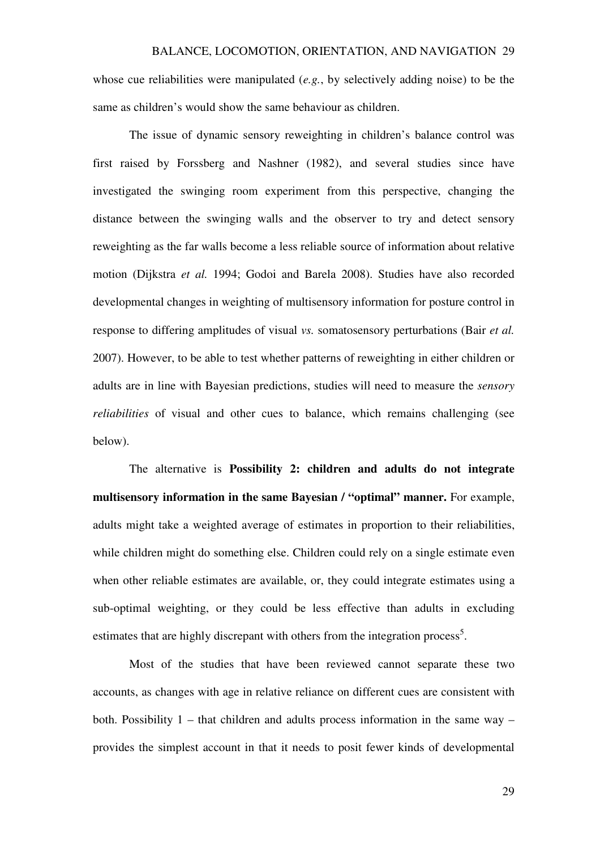whose cue reliabilities were manipulated (*e.g.*, by selectively adding noise) to be the same as children's would show the same behaviour as children.

The issue of dynamic sensory reweighting in children's balance control was first raised by Forssberg and Nashner (1982), and several studies since have investigated the swinging room experiment from this perspective, changing the distance between the swinging walls and the observer to try and detect sensory reweighting as the far walls become a less reliable source of information about relative motion (Dijkstra *et al.* 1994; Godoi and Barela 2008). Studies have also recorded developmental changes in weighting of multisensory information for posture control in response to differing amplitudes of visual *vs.* somatosensory perturbations (Bair *et al.* 2007). However, to be able to test whether patterns of reweighting in either children or adults are in line with Bayesian predictions, studies will need to measure the *sensory reliabilities* of visual and other cues to balance, which remains challenging (see below).

The alternative is **Possibility 2: children and adults do not integrate multisensory information in the same Bayesian / "optimal" manner.** For example, adults might take a weighted average of estimates in proportion to their reliabilities, while children might do something else. Children could rely on a single estimate even when other reliable estimates are available, or, they could integrate estimates using a sub-optimal weighting, or they could be less effective than adults in excluding estimates that are highly discrepant with others from the integration process<sup>5</sup>.

Most of the studies that have been reviewed cannot separate these two accounts, as changes with age in relative reliance on different cues are consistent with both. Possibility 1 – that children and adults process information in the same way – provides the simplest account in that it needs to posit fewer kinds of developmental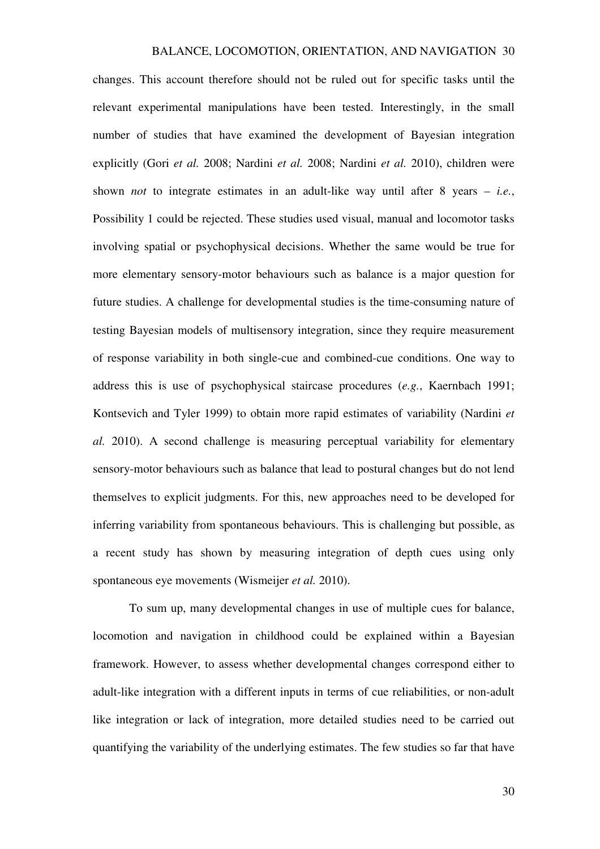changes. This account therefore should not be ruled out for specific tasks until the relevant experimental manipulations have been tested. Interestingly, in the small number of studies that have examined the development of Bayesian integration explicitly (Gori *et al.* 2008; Nardini *et al.* 2008; Nardini *et al.* 2010), children were shown *not* to integrate estimates in an adult-like way until after 8 years – *i.e.*, Possibility 1 could be rejected. These studies used visual, manual and locomotor tasks involving spatial or psychophysical decisions. Whether the same would be true for more elementary sensory-motor behaviours such as balance is a major question for future studies. A challenge for developmental studies is the time-consuming nature of testing Bayesian models of multisensory integration, since they require measurement of response variability in both single-cue and combined-cue conditions. One way to address this is use of psychophysical staircase procedures (*e.g.*, Kaernbach 1991; Kontsevich and Tyler 1999) to obtain more rapid estimates of variability (Nardini *et al.* 2010). A second challenge is measuring perceptual variability for elementary sensory-motor behaviours such as balance that lead to postural changes but do not lend themselves to explicit judgments. For this, new approaches need to be developed for inferring variability from spontaneous behaviours. This is challenging but possible, as a recent study has shown by measuring integration of depth cues using only spontaneous eye movements (Wismeijer *et al.* 2010).

To sum up, many developmental changes in use of multiple cues for balance, locomotion and navigation in childhood could be explained within a Bayesian framework. However, to assess whether developmental changes correspond either to adult-like integration with a different inputs in terms of cue reliabilities, or non-adult like integration or lack of integration, more detailed studies need to be carried out quantifying the variability of the underlying estimates. The few studies so far that have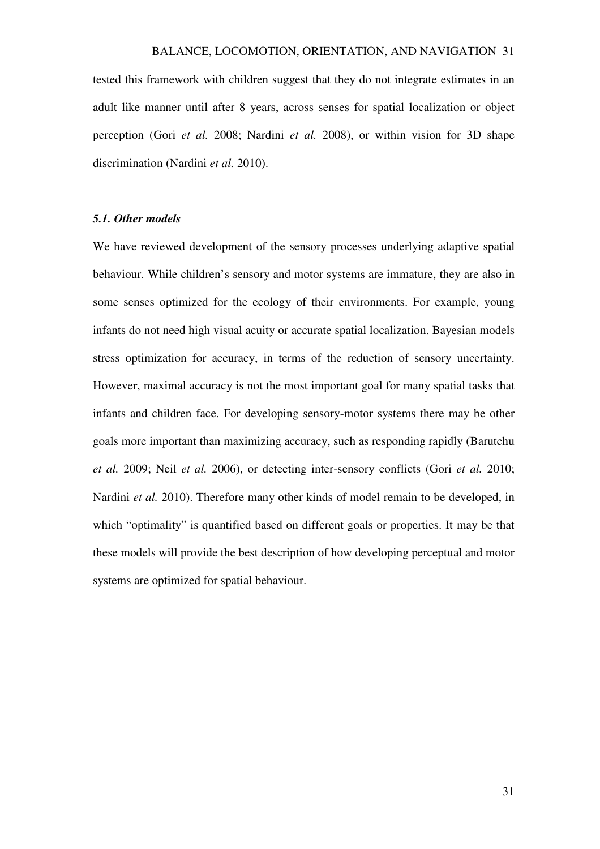tested this framework with children suggest that they do not integrate estimates in an adult like manner until after 8 years, across senses for spatial localization or object perception (Gori *et al.* 2008; Nardini *et al.* 2008), or within vision for 3D shape discrimination (Nardini *et al.* 2010).

## *5.1. Other models*

We have reviewed development of the sensory processes underlying adaptive spatial behaviour. While children's sensory and motor systems are immature, they are also in some senses optimized for the ecology of their environments. For example, young infants do not need high visual acuity or accurate spatial localization. Bayesian models stress optimization for accuracy, in terms of the reduction of sensory uncertainty. However, maximal accuracy is not the most important goal for many spatial tasks that infants and children face. For developing sensory-motor systems there may be other goals more important than maximizing accuracy, such as responding rapidly (Barutchu *et al.* 2009; Neil *et al.* 2006), or detecting inter-sensory conflicts (Gori *et al.* 2010; Nardini *et al.* 2010). Therefore many other kinds of model remain to be developed, in which "optimality" is quantified based on different goals or properties. It may be that these models will provide the best description of how developing perceptual and motor systems are optimized for spatial behaviour.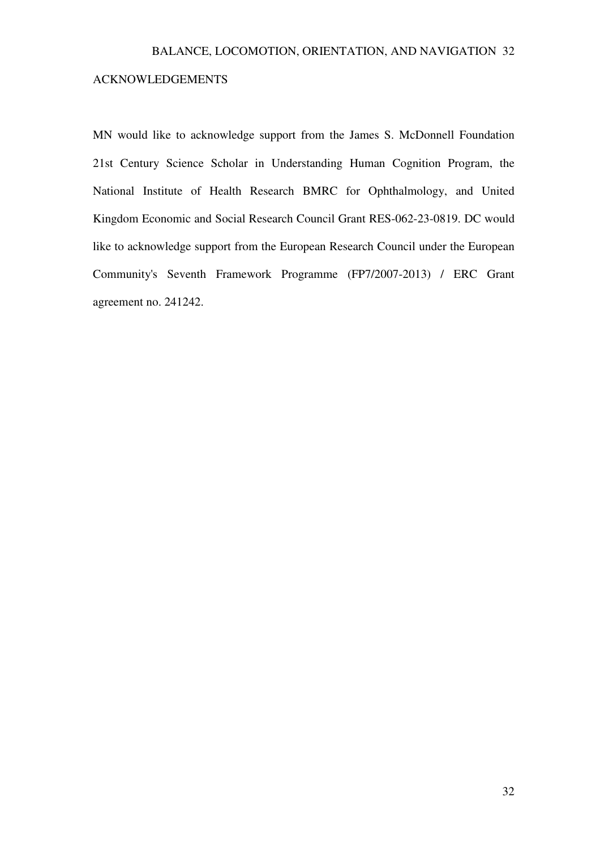#### ACKNOWLEDGEMENTS

MN would like to acknowledge support from the James S. McDonnell Foundation 21st Century Science Scholar in Understanding Human Cognition Program, the National Institute of Health Research BMRC for Ophthalmology, and United Kingdom Economic and Social Research Council Grant RES-062-23-0819. DC would like to acknowledge support from the European Research Council under the European Community's Seventh Framework Programme (FP7/2007-2013) / ERC Grant agreement no. 241242.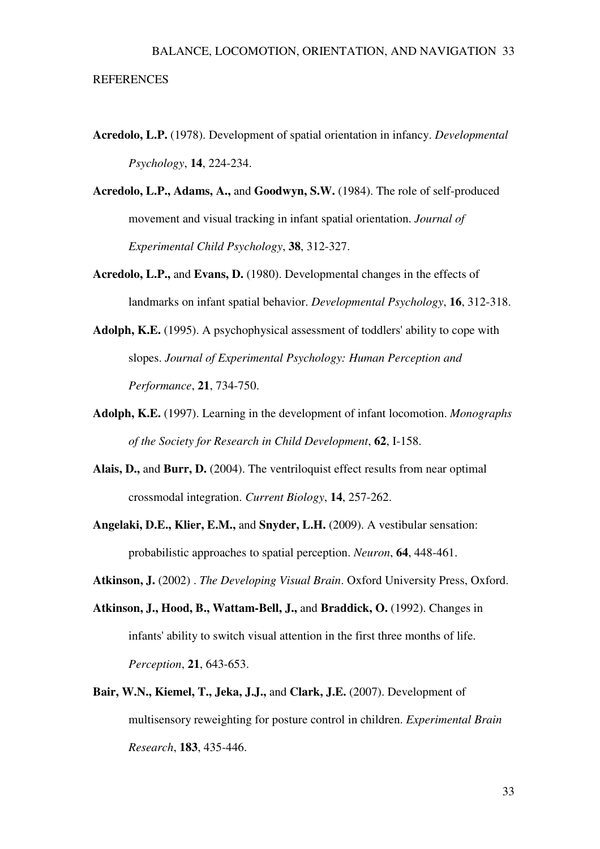#### **REFERENCES**

- **Acredolo, L.P.** (1978). Development of spatial orientation in infancy. *Developmental Psychology*, **14**, 224-234.
- **Acredolo, L.P., Adams, A.,** and **Goodwyn, S.W.** (1984). The role of self-produced movement and visual tracking in infant spatial orientation. *Journal of Experimental Child Psychology*, **38**, 312-327.
- **Acredolo, L.P., and Evans, D.** (1980). Developmental changes in the effects of landmarks on infant spatial behavior. *Developmental Psychology*, **16**, 312-318.
- **Adolph, K.E.** (1995). A psychophysical assessment of toddlers' ability to cope with slopes. *Journal of Experimental Psychology: Human Perception and Performance*, **21**, 734-750.
- **Adolph, K.E.** (1997). Learning in the development of infant locomotion. *Monographs of the Society for Research in Child Development*, **62**, I-158.
- **Alais, D.,** and **Burr, D.** (2004). The ventriloquist effect results from near optimal crossmodal integration. *Current Biology*, **14**, 257-262.
- **Angelaki, D.E., Klier, E.M.,** and **Snyder, L.H.** (2009). A vestibular sensation: probabilistic approaches to spatial perception. *Neuron*, **64**, 448-461.
- **Atkinson, J.** (2002) . *The Developing Visual Brain*. Oxford University Press, Oxford.
- **Atkinson, J., Hood, B., Wattam-Bell, J.,** and **Braddick, O.** (1992). Changes in infants' ability to switch visual attention in the first three months of life. *Perception*, **21**, 643-653.
- **Bair, W.N., Kiemel, T., Jeka, J.J.,** and **Clark, J.E.** (2007). Development of multisensory reweighting for posture control in children. *Experimental Brain Research*, **183**, 435-446.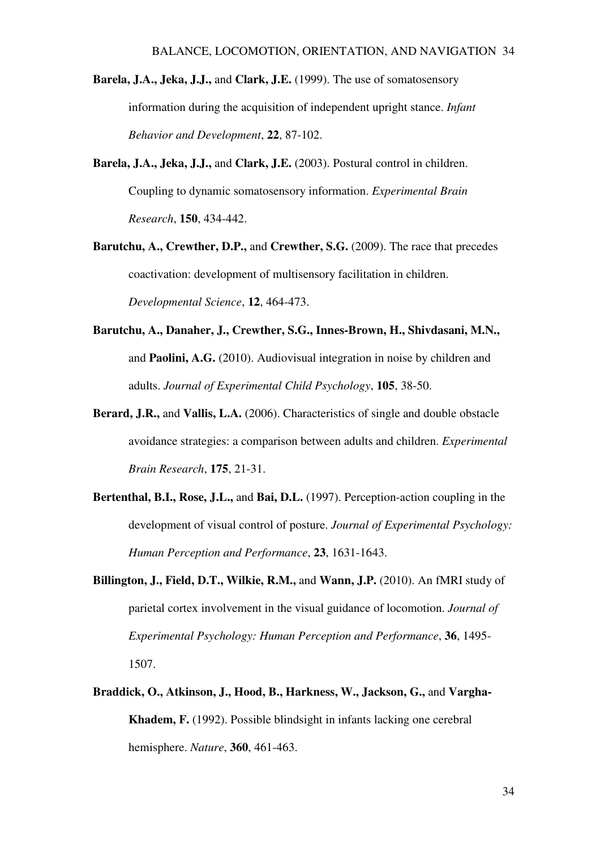- **Barela, J.A., Jeka, J.J.,** and **Clark, J.E.** (1999). The use of somatosensory information during the acquisition of independent upright stance. *Infant Behavior and Development*, **22**, 87-102.
- **Barela, J.A., Jeka, J.J.,** and **Clark, J.E.** (2003). Postural control in children. Coupling to dynamic somatosensory information. *Experimental Brain Research*, **150**, 434-442.
- **Barutchu, A., Crewther, D.P.,** and **Crewther, S.G.** (2009). The race that precedes coactivation: development of multisensory facilitation in children. *Developmental Science*, **12**, 464-473.
- **Barutchu, A., Danaher, J., Crewther, S.G., Innes-Brown, H., Shivdasani, M.N.,**  and **Paolini, A.G.** (2010). Audiovisual integration in noise by children and adults. *Journal of Experimental Child Psychology*, **105**, 38-50.
- **Berard, J.R.,** and **Vallis, L.A.** (2006). Characteristics of single and double obstacle avoidance strategies: a comparison between adults and children. *Experimental Brain Research*, **175**, 21-31.
- **Bertenthal, B.I., Rose, J.L.,** and **Bai, D.L.** (1997). Perception-action coupling in the development of visual control of posture. *Journal of Experimental Psychology: Human Perception and Performance*, **23**, 1631-1643.
- **Billington, J., Field, D.T., Wilkie, R.M.,** and **Wann, J.P.** (2010). An fMRI study of parietal cortex involvement in the visual guidance of locomotion. *Journal of Experimental Psychology: Human Perception and Performance*, **36**, 1495- 1507.
- **Braddick, O., Atkinson, J., Hood, B., Harkness, W., Jackson, G.,** and **Vargha-Khadem, F.** (1992). Possible blindsight in infants lacking one cerebral hemisphere. *Nature*, **360**, 461-463.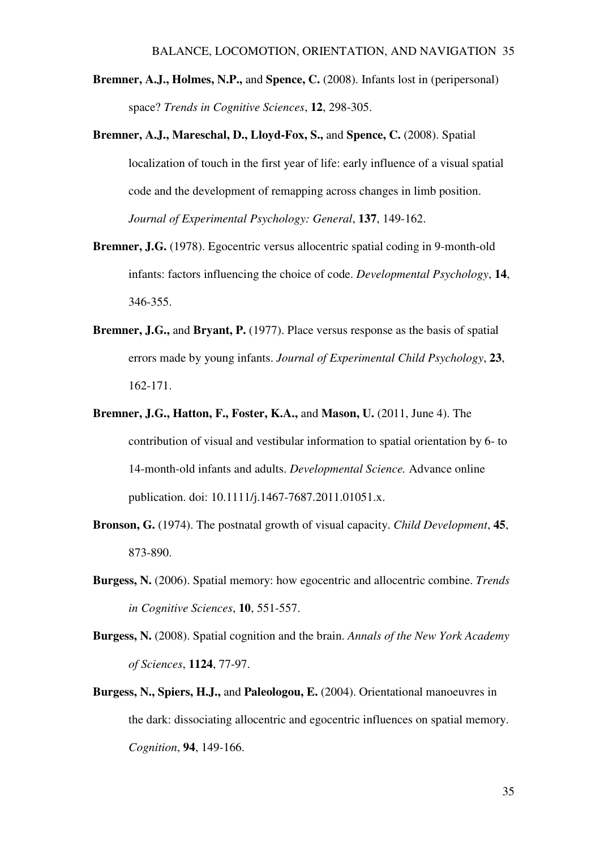- **Bremner, A.J., Holmes, N.P., and Spence, C.** (2008). Infants lost in (peripersonal) space? *Trends in Cognitive Sciences*, **12**, 298-305.
- **Bremner, A.J., Mareschal, D., Lloyd-Fox, S.,** and **Spence, C.** (2008). Spatial localization of touch in the first year of life: early influence of a visual spatial code and the development of remapping across changes in limb position. *Journal of Experimental Psychology: General*, **137**, 149-162.
- **Bremner, J.G.** (1978). Egocentric versus allocentric spatial coding in 9-month-old infants: factors influencing the choice of code. *Developmental Psychology*, **14**, 346-355.
- **Bremner, J.G., and Bryant, P.** (1977). Place versus response as the basis of spatial errors made by young infants. *Journal of Experimental Child Psychology*, **23**, 162-171.
- **Bremner, J.G., Hatton, F., Foster, K.A.,** and **Mason, U.** (2011, June 4). The contribution of visual and vestibular information to spatial orientation by 6- to 14-month-old infants and adults. *Developmental Science.* Advance online publication. doi: 10.1111/j.1467-7687.2011.01051.x.
- **Bronson, G.** (1974). The postnatal growth of visual capacity. *Child Development*, **45**, 873-890.
- **Burgess, N.** (2006). Spatial memory: how egocentric and allocentric combine. *Trends in Cognitive Sciences*, **10**, 551-557.
- **Burgess, N.** (2008). Spatial cognition and the brain. *Annals of the New York Academy of Sciences*, **1124**, 77-97.
- **Burgess, N., Spiers, H.J.,** and **Paleologou, E.** (2004). Orientational manoeuvres in the dark: dissociating allocentric and egocentric influences on spatial memory. *Cognition*, **94**, 149-166.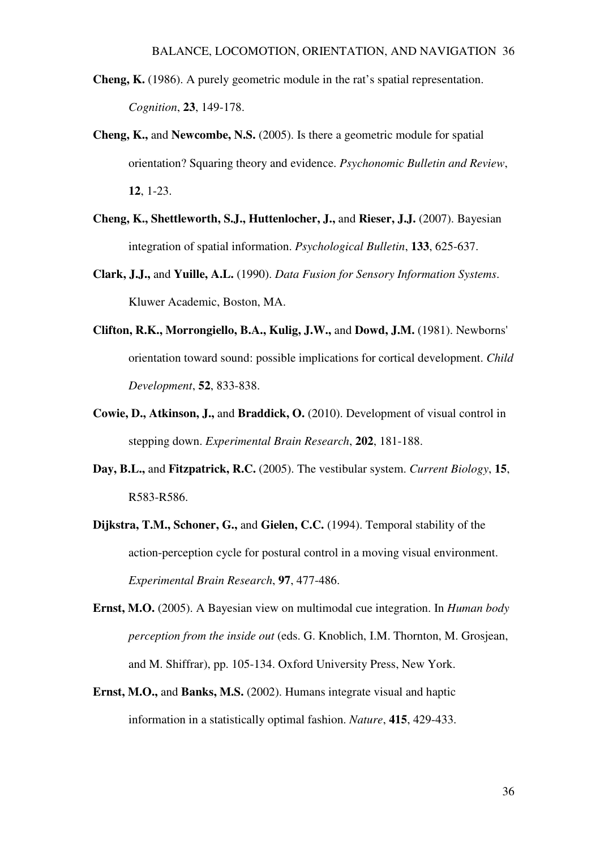- **Cheng, K.** (1986). A purely geometric module in the rat's spatial representation. *Cognition*, **23**, 149-178.
- **Cheng, K.,** and **Newcombe, N.S.** (2005). Is there a geometric module for spatial orientation? Squaring theory and evidence. *Psychonomic Bulletin and Review*, **12**, 1-23.
- **Cheng, K., Shettleworth, S.J., Huttenlocher, J.,** and **Rieser, J.J.** (2007). Bayesian integration of spatial information. *Psychological Bulletin*, **133**, 625-637.
- **Clark, J.J.,** and **Yuille, A.L.** (1990). *Data Fusion for Sensory Information Systems*. Kluwer Academic, Boston, MA.
- **Clifton, R.K., Morrongiello, B.A., Kulig, J.W.,** and **Dowd, J.M.** (1981). Newborns' orientation toward sound: possible implications for cortical development. *Child Development*, **52**, 833-838.
- **Cowie, D., Atkinson, J.,** and **Braddick, O.** (2010). Development of visual control in stepping down. *Experimental Brain Research*, **202**, 181-188.
- **Day, B.L.,** and **Fitzpatrick, R.C.** (2005). The vestibular system. *Current Biology*, **15**, R583-R586.
- **Dijkstra, T.M., Schoner, G.,** and **Gielen, C.C.** (1994). Temporal stability of the action-perception cycle for postural control in a moving visual environment. *Experimental Brain Research*, **97**, 477-486.
- **Ernst, M.O.** (2005). A Bayesian view on multimodal cue integration. In *Human body perception from the inside out* (eds. G. Knoblich, I.M. Thornton, M. Grosjean, and M. Shiffrar), pp. 105-134. Oxford University Press, New York.
- **Ernst, M.O., and Banks, M.S.** (2002). Humans integrate visual and haptic information in a statistically optimal fashion. *Nature*, **415**, 429-433.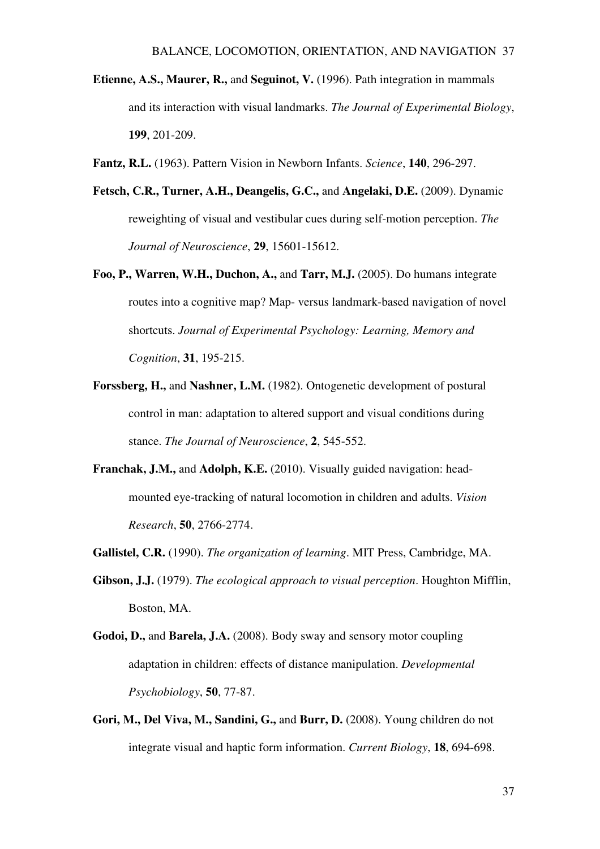- **Etienne, A.S., Maurer, R.,** and **Seguinot, V.** (1996). Path integration in mammals and its interaction with visual landmarks. *The Journal of Experimental Biology*, **199**, 201-209.
- **Fantz, R.L.** (1963). Pattern Vision in Newborn Infants. *Science*, **140**, 296-297.
- **Fetsch, C.R., Turner, A.H., Deangelis, G.C.,** and **Angelaki, D.E.** (2009). Dynamic reweighting of visual and vestibular cues during self-motion perception. *The Journal of Neuroscience*, **29**, 15601-15612.
- **Foo, P., Warren, W.H., Duchon, A.,** and **Tarr, M.J.** (2005). Do humans integrate routes into a cognitive map? Map- versus landmark-based navigation of novel shortcuts. *Journal of Experimental Psychology: Learning, Memory and Cognition*, **31**, 195-215.
- **Forssberg, H.,** and **Nashner, L.M.** (1982). Ontogenetic development of postural control in man: adaptation to altered support and visual conditions during stance. *The Journal of Neuroscience*, **2**, 545-552.
- **Franchak, J.M., and Adolph, K.E.** (2010). Visually guided navigation: headmounted eye-tracking of natural locomotion in children and adults. *Vision Research*, **50**, 2766-2774.
- **Gallistel, C.R.** (1990). *The organization of learning*. MIT Press, Cambridge, MA.
- **Gibson, J.J.** (1979). *The ecological approach to visual perception*. Houghton Mifflin, Boston, MA.
- **Godoi, D.,** and **Barela, J.A.** (2008). Body sway and sensory motor coupling adaptation in children: effects of distance manipulation. *Developmental Psychobiology*, **50**, 77-87.
- **Gori, M., Del Viva, M., Sandini, G.,** and **Burr, D.** (2008). Young children do not integrate visual and haptic form information. *Current Biology*, **18**, 694-698.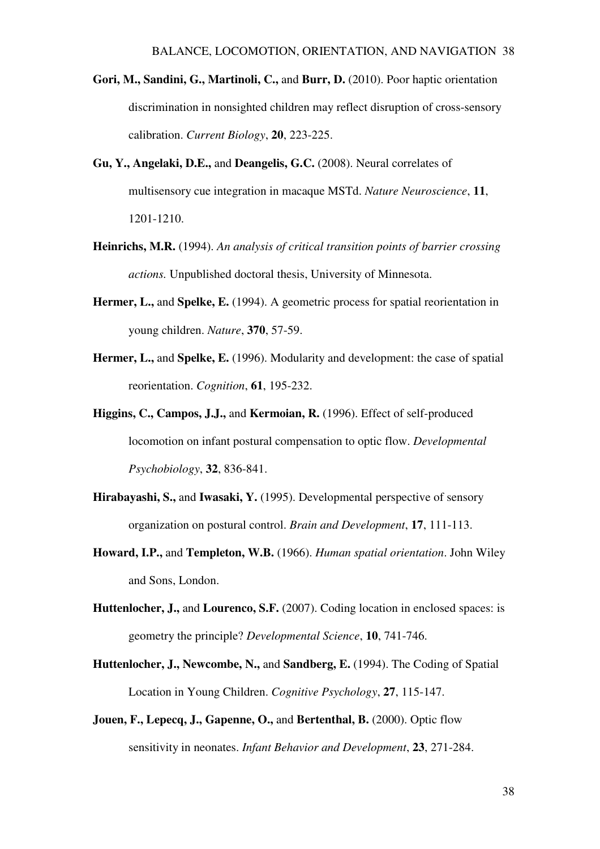- **Gori, M., Sandini, G., Martinoli, C.,** and **Burr, D.** (2010). Poor haptic orientation discrimination in nonsighted children may reflect disruption of cross-sensory calibration. *Current Biology*, **20**, 223-225.
- **Gu, Y., Angelaki, D.E.,** and **Deangelis, G.C.** (2008). Neural correlates of multisensory cue integration in macaque MSTd. *Nature Neuroscience*, **11**, 1201-1210.
- **Heinrichs, M.R.** (1994). *An analysis of critical transition points of barrier crossing actions.* Unpublished doctoral thesis, University of Minnesota.
- **Hermer, L.,** and **Spelke, E.** (1994). A geometric process for spatial reorientation in young children. *Nature*, **370**, 57-59.
- **Hermer, L.,** and **Spelke, E.** (1996). Modularity and development: the case of spatial reorientation. *Cognition*, **61**, 195-232.
- **Higgins, C., Campos, J.J.,** and **Kermoian, R.** (1996). Effect of self-produced locomotion on infant postural compensation to optic flow. *Developmental Psychobiology*, **32**, 836-841.
- **Hirabayashi, S., and Iwasaki, Y.** (1995). Developmental perspective of sensory organization on postural control. *Brain and Development*, **17**, 111-113.
- **Howard, I.P.,** and **Templeton, W.B.** (1966). *Human spatial orientation*. John Wiley and Sons, London.
- **Huttenlocher, J., and Lourenco, S.F.** (2007). Coding location in enclosed spaces: is geometry the principle? *Developmental Science*, **10**, 741-746.
- **Huttenlocher, J., Newcombe, N.,** and **Sandberg, E.** (1994). The Coding of Spatial Location in Young Children. *Cognitive Psychology*, **27**, 115-147.
- **Jouen, F., Lepecq, J., Gapenne, O.,** and **Bertenthal, B.** (2000). Optic flow sensitivity in neonates. *Infant Behavior and Development*, **23**, 271-284.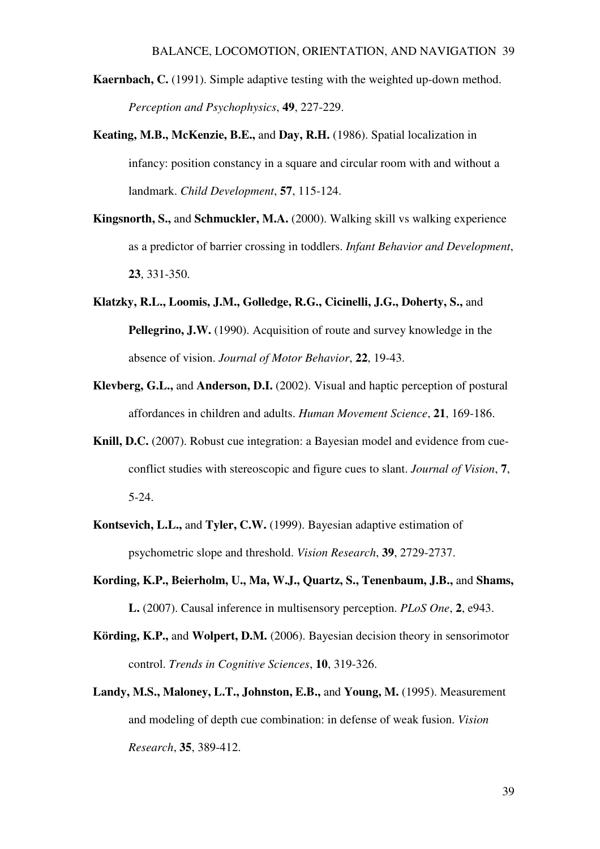- **Kaernbach, C.** (1991). Simple adaptive testing with the weighted up-down method. *Perception and Psychophysics*, **49**, 227-229.
- **Keating, M.B., McKenzie, B.E.,** and **Day, R.H.** (1986). Spatial localization in infancy: position constancy in a square and circular room with and without a landmark. *Child Development*, **57**, 115-124.
- **Kingsnorth, S.,** and **Schmuckler, M.A.** (2000). Walking skill vs walking experience as a predictor of barrier crossing in toddlers. *Infant Behavior and Development*, **23**, 331-350.
- **Klatzky, R.L., Loomis, J.M., Golledge, R.G., Cicinelli, J.G., Doherty, S.,** and **Pellegrino, J.W.** (1990). Acquisition of route and survey knowledge in the absence of vision. *Journal of Motor Behavior*, **22**, 19-43.
- **Klevberg, G.L.,** and **Anderson, D.I.** (2002). Visual and haptic perception of postural affordances in children and adults. *Human Movement Science*, **21**, 169-186.
- **Knill, D.C.** (2007). Robust cue integration: a Bayesian model and evidence from cueconflict studies with stereoscopic and figure cues to slant. *Journal of Vision*, **7**, 5-24.
- **Kontsevich, L.L.,** and **Tyler, C.W.** (1999). Bayesian adaptive estimation of psychometric slope and threshold. *Vision Research*, **39**, 2729-2737.
- **Kording, K.P., Beierholm, U., Ma, W.J., Quartz, S., Tenenbaum, J.B.,** and **Shams, L.** (2007). Causal inference in multisensory perception. *PLoS One*, **2**, e943.
- **Körding, K.P.,** and **Wolpert, D.M.** (2006). Bayesian decision theory in sensorimotor control. *Trends in Cognitive Sciences*, **10**, 319-326.
- **Landy, M.S., Maloney, L.T., Johnston, E.B.,** and **Young, M.** (1995). Measurement and modeling of depth cue combination: in defense of weak fusion. *Vision Research*, **35**, 389-412.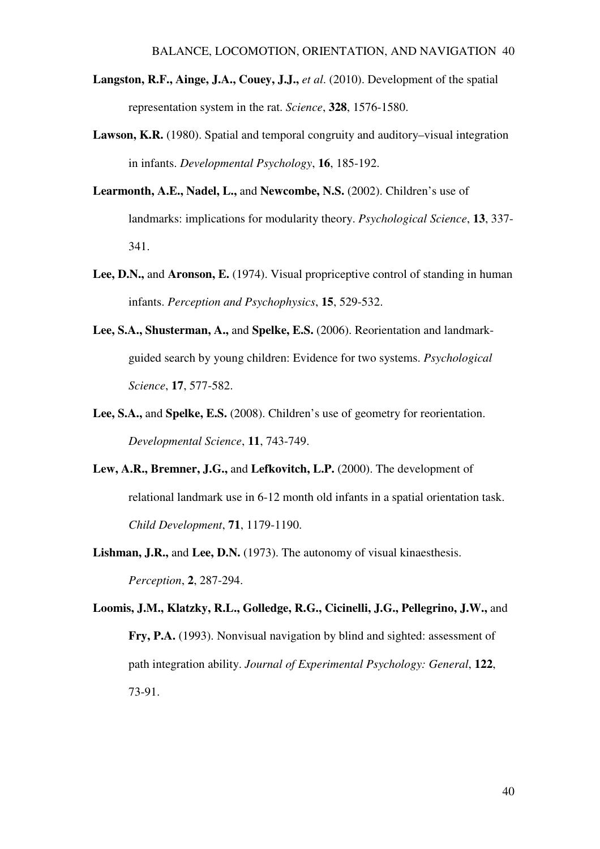- Langston, R.F., Ainge, J.A., Couey, J.J., *et al.* (2010). Development of the spatial representation system in the rat. *Science*, **328**, 1576-1580.
- **Lawson, K.R.** (1980). Spatial and temporal congruity and auditory–visual integration in infants. *Developmental Psychology*, **16**, 185-192.
- **Learmonth, A.E., Nadel, L.,** and **Newcombe, N.S.** (2002). Children's use of landmarks: implications for modularity theory. *Psychological Science*, **13**, 337- 341.
- Lee, D.N., and Aronson, E. (1974). Visual propriceptive control of standing in human infants. *Perception and Psychophysics*, **15**, 529-532.
- **Lee, S.A., Shusterman, A.,** and **Spelke, E.S.** (2006). Reorientation and landmarkguided search by young children: Evidence for two systems. *Psychological Science*, **17**, 577-582.
- **Lee, S.A.,** and **Spelke, E.S.** (2008). Children's use of geometry for reorientation. *Developmental Science*, **11**, 743-749.
- **Lew, A.R., Bremner, J.G.,** and **Lefkovitch, L.P.** (2000). The development of relational landmark use in 6-12 month old infants in a spatial orientation task. *Child Development*, **71**, 1179-1190.
- Lishman, J.R., and Lee, D.N. (1973). The autonomy of visual kinaesthesis. *Perception*, **2**, 287-294.
- **Loomis, J.M., Klatzky, R.L., Golledge, R.G., Cicinelli, J.G., Pellegrino, J.W.,** and **Fry, P.A.** (1993). Nonvisual navigation by blind and sighted: assessment of path integration ability. *Journal of Experimental Psychology: General*, **122**, 73-91.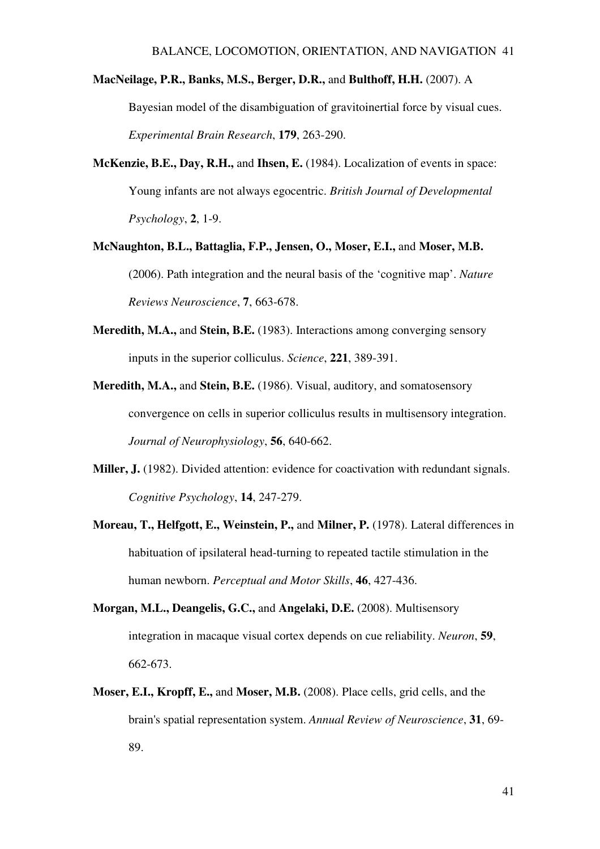## **MacNeilage, P.R., Banks, M.S., Berger, D.R.,** and **Bulthoff, H.H.** (2007). A

Bayesian model of the disambiguation of gravitoinertial force by visual cues. *Experimental Brain Research*, **179**, 263-290.

- **McKenzie, B.E., Day, R.H., and Ihsen, E.** (1984). Localization of events in space: Young infants are not always egocentric. *British Journal of Developmental Psychology*, **2**, 1-9.
- **McNaughton, B.L., Battaglia, F.P., Jensen, O., Moser, E.I.,** and **Moser, M.B.** (2006). Path integration and the neural basis of the 'cognitive map'. *Nature Reviews Neuroscience*, **7**, 663-678.
- **Meredith, M.A.,** and **Stein, B.E.** (1983). Interactions among converging sensory inputs in the superior colliculus. *Science*, **221**, 389-391.
- **Meredith, M.A.,** and **Stein, B.E.** (1986). Visual, auditory, and somatosensory convergence on cells in superior colliculus results in multisensory integration. *Journal of Neurophysiology*, **56**, 640-662.
- **Miller, J.** (1982). Divided attention: evidence for coactivation with redundant signals. *Cognitive Psychology*, **14**, 247-279.
- **Moreau, T., Helfgott, E., Weinstein, P.,** and **Milner, P.** (1978). Lateral differences in habituation of ipsilateral head-turning to repeated tactile stimulation in the human newborn. *Perceptual and Motor Skills*, **46**, 427-436.
- **Morgan, M.L., Deangelis, G.C.,** and **Angelaki, D.E.** (2008). Multisensory integration in macaque visual cortex depends on cue reliability. *Neuron*, **59**, 662-673.
- **Moser, E.I., Kropff, E.,** and **Moser, M.B.** (2008). Place cells, grid cells, and the brain's spatial representation system. *Annual Review of Neuroscience*, **31**, 69- 89.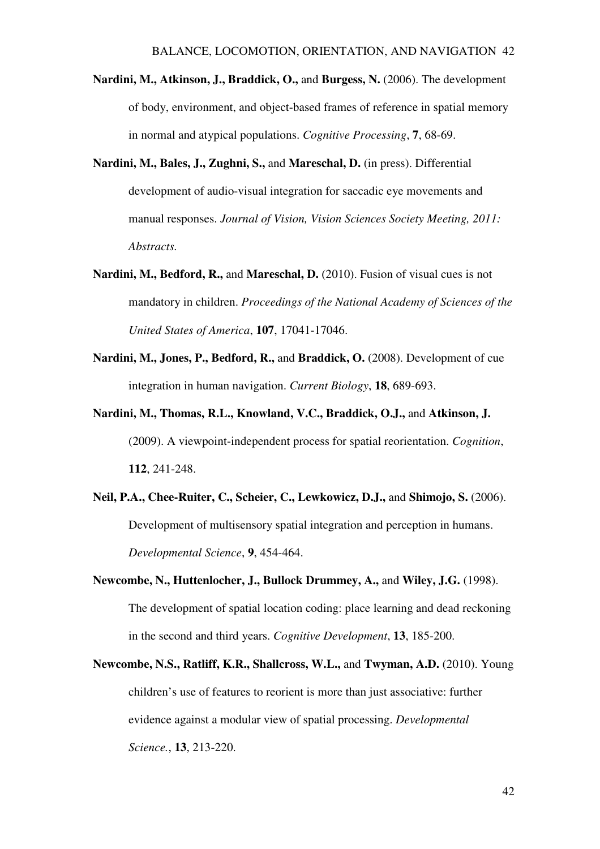- **Nardini, M., Atkinson, J., Braddick, O.,** and **Burgess, N.** (2006). The development of body, environment, and object-based frames of reference in spatial memory in normal and atypical populations. *Cognitive Processing*, **7**, 68-69.
- **Nardini, M., Bales, J., Zughni, S.,** and **Mareschal, D.** (in press). Differential development of audio-visual integration for saccadic eye movements and manual responses. *Journal of Vision, Vision Sciences Society Meeting, 2011: Abstracts.*
- **Nardini, M., Bedford, R.,** and **Mareschal, D.** (2010). Fusion of visual cues is not mandatory in children. *Proceedings of the National Academy of Sciences of the United States of America*, **107**, 17041-17046.
- **Nardini, M., Jones, P., Bedford, R.,** and **Braddick, O.** (2008). Development of cue integration in human navigation. *Current Biology*, **18**, 689-693.
- **Nardini, M., Thomas, R.L., Knowland, V.C., Braddick, O.J.,** and **Atkinson, J.** (2009). A viewpoint-independent process for spatial reorientation. *Cognition*, **112**, 241-248.
- **Neil, P.A., Chee-Ruiter, C., Scheier, C., Lewkowicz, D.J.,** and **Shimojo, S.** (2006). Development of multisensory spatial integration and perception in humans. *Developmental Science*, **9**, 454-464.
- **Newcombe, N., Huttenlocher, J., Bullock Drummey, A.,** and **Wiley, J.G.** (1998). The development of spatial location coding: place learning and dead reckoning in the second and third years. *Cognitive Development*, **13**, 185-200.
- **Newcombe, N.S., Ratliff, K.R., Shallcross, W.L.,** and **Twyman, A.D.** (2010). Young children's use of features to reorient is more than just associative: further evidence against a modular view of spatial processing. *Developmental Science.*, **13**, 213-220.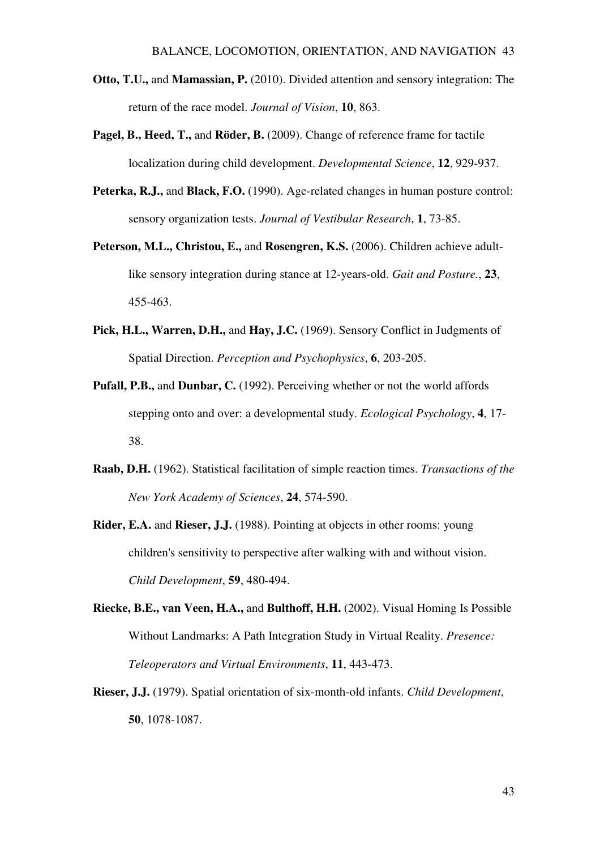- **Otto, T.U.,** and **Mamassian, P.** (2010). Divided attention and sensory integration: The return of the race model. *Journal of Vision*, **10**, 863.
- **Pagel, B., Heed, T.,** and **Röder, B.** (2009). Change of reference frame for tactile localization during child development. *Developmental Science*, **12**, 929-937.
- **Peterka, R.J.,** and **Black, F.O.** (1990). Age-related changes in human posture control: sensory organization tests. *Journal of Vestibular Research*, **1**, 73-85.
- Peterson, M.L., Christou, E., and Rosengren, K.S. (2006). Children achieve adultlike sensory integration during stance at 12-years-old. *Gait and Posture.*, **23**, 455-463.
- Pick, H.L., Warren, D.H., and Hay, J.C. (1969). Sensory Conflict in Judgments of Spatial Direction. *Perception and Psychophysics*, **6**, 203-205.
- **Pufall, P.B., and Dunbar, C.** (1992). Perceiving whether or not the world affords stepping onto and over: a developmental study. *Ecological Psychology*, **4**, 17- 38.
- **Raab, D.H.** (1962). Statistical facilitation of simple reaction times. *Transactions of the New York Academy of Sciences*, **24**, 574-590.
- **Rider, E.A.** and **Rieser, J.J.** (1988). Pointing at objects in other rooms: young children's sensitivity to perspective after walking with and without vision. *Child Development*, **59**, 480-494.
- **Riecke, B.E., van Veen, H.A.,** and **Bulthoff, H.H.** (2002). Visual Homing Is Possible Without Landmarks: A Path Integration Study in Virtual Reality. *Presence: Teleoperators and Virtual Environments*, **11**, 443-473.
- **Rieser, J.J.** (1979). Spatial orientation of six-month-old infants. *Child Development*, **50**, 1078-1087.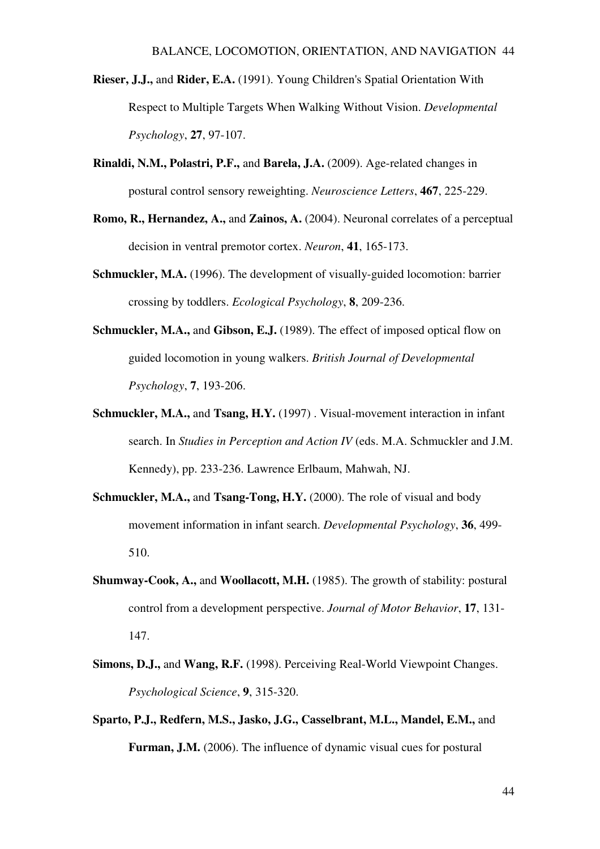- **Rieser, J.J.,** and **Rider, E.A.** (1991). Young Children's Spatial Orientation With Respect to Multiple Targets When Walking Without Vision. *Developmental Psychology*, **27**, 97-107.
- **Rinaldi, N.M., Polastri, P.F.,** and **Barela, J.A.** (2009). Age-related changes in postural control sensory reweighting. *Neuroscience Letters*, **467**, 225-229.
- **Romo, R., Hernandez, A., and Zainos, A.** (2004). Neuronal correlates of a perceptual decision in ventral premotor cortex. *Neuron*, **41**, 165-173.
- **Schmuckler, M.A.** (1996). The development of visually-guided locomotion: barrier crossing by toddlers. *Ecological Psychology*, **8**, 209-236.
- **Schmuckler, M.A., and Gibson, E.J.** (1989). The effect of imposed optical flow on guided locomotion in young walkers. *British Journal of Developmental Psychology*, **7**, 193-206.
- **Schmuckler, M.A.,** and **Tsang, H.Y.** (1997) . Visual-movement interaction in infant search. In *Studies in Perception and Action IV* (eds. M.A. Schmuckler and J.M. Kennedy), pp. 233-236. Lawrence Erlbaum, Mahwah, NJ.
- **Schmuckler, M.A., and Tsang-Tong, H.Y.** (2000). The role of visual and body movement information in infant search. *Developmental Psychology*, **36**, 499- 510.
- **Shumway-Cook, A.,** and **Woollacott, M.H.** (1985). The growth of stability: postural control from a development perspective. *Journal of Motor Behavior*, **17**, 131- 147.
- **Simons, D.J.,** and **Wang, R.F.** (1998). Perceiving Real-World Viewpoint Changes. *Psychological Science*, **9**, 315-320.
- **Sparto, P.J., Redfern, M.S., Jasko, J.G., Casselbrant, M.L., Mandel, E.M.,** and **Furman, J.M.** (2006). The influence of dynamic visual cues for postural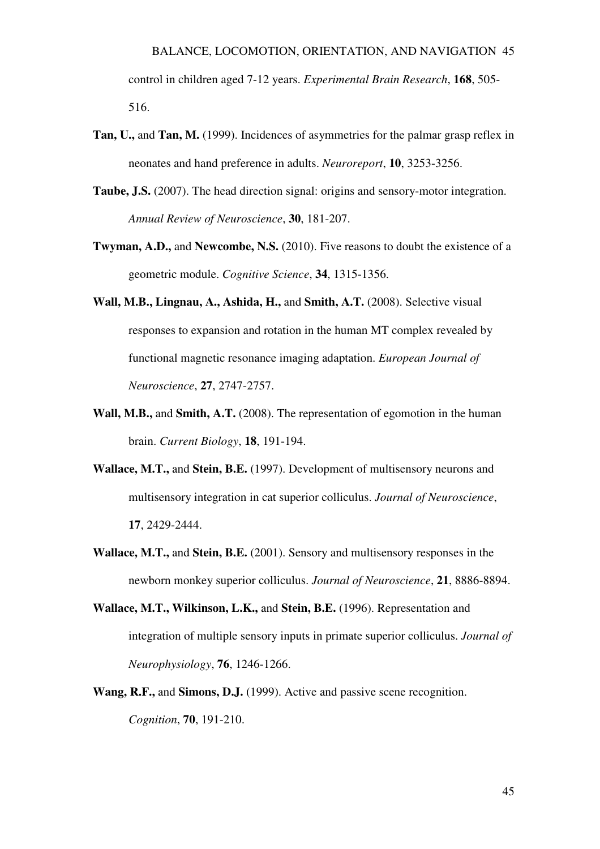516.

- **Tan, U.,** and **Tan, M.** (1999). Incidences of asymmetries for the palmar grasp reflex in neonates and hand preference in adults. *Neuroreport*, **10**, 3253-3256.
- **Taube, J.S.** (2007). The head direction signal: origins and sensory-motor integration. *Annual Review of Neuroscience*, **30**, 181-207.
- **Twyman, A.D., and Newcombe, N.S.** (2010). Five reasons to doubt the existence of a geometric module. *Cognitive Science*, **34**, 1315-1356.
- **Wall, M.B., Lingnau, A., Ashida, H.,** and **Smith, A.T.** (2008). Selective visual responses to expansion and rotation in the human MT complex revealed by functional magnetic resonance imaging adaptation. *European Journal of Neuroscience*, **27**, 2747-2757.
- Wall, M.B., and Smith, A.T. (2008). The representation of egomotion in the human brain. *Current Biology*, **18**, 191-194.
- **Wallace, M.T.,** and **Stein, B.E.** (1997). Development of multisensory neurons and multisensory integration in cat superior colliculus. *Journal of Neuroscience*, **17**, 2429-2444.
- **Wallace, M.T.,** and **Stein, B.E.** (2001). Sensory and multisensory responses in the newborn monkey superior colliculus. *Journal of Neuroscience*, **21**, 8886-8894.
- **Wallace, M.T., Wilkinson, L.K.,** and **Stein, B.E.** (1996). Representation and integration of multiple sensory inputs in primate superior colliculus. *Journal of Neurophysiology*, **76**, 1246-1266.
- **Wang, R.F.,** and **Simons, D.J.** (1999). Active and passive scene recognition. *Cognition*, **70**, 191-210.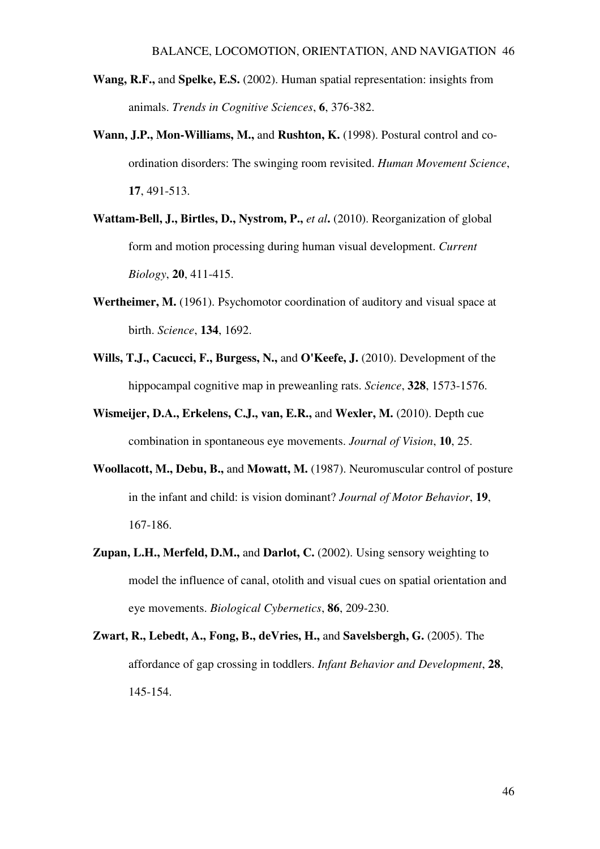- **Wang, R.F.,** and **Spelke, E.S.** (2002). Human spatial representation: insights from animals. *Trends in Cognitive Sciences*, **6**, 376-382.
- **Wann, J.P., Mon-Williams, M.,** and **Rushton, K.** (1998). Postural control and coordination disorders: The swinging room revisited. *Human Movement Science*, **17**, 491-513.
- **Wattam-Bell, J., Birtles, D., Nystrom, P.,** *et al***.** (2010). Reorganization of global form and motion processing during human visual development. *Current Biology*, **20**, 411-415.
- **Wertheimer, M.** (1961). Psychomotor coordination of auditory and visual space at birth. *Science*, **134**, 1692.
- **Wills, T.J., Cacucci, F., Burgess, N.,** and **O'Keefe, J.** (2010). Development of the hippocampal cognitive map in preweanling rats. *Science*, **328**, 1573-1576.
- **Wismeijer, D.A., Erkelens, C.J., van, E.R.,** and **Wexler, M.** (2010). Depth cue combination in spontaneous eye movements. *Journal of Vision*, **10**, 25.
- **Woollacott, M., Debu, B.,** and **Mowatt, M.** (1987). Neuromuscular control of posture in the infant and child: is vision dominant? *Journal of Motor Behavior*, **19**, 167-186.
- **Zupan, L.H., Merfeld, D.M.,** and **Darlot, C.** (2002). Using sensory weighting to model the influence of canal, otolith and visual cues on spatial orientation and eye movements. *Biological Cybernetics*, **86**, 209-230.
- **Zwart, R., Lebedt, A., Fong, B., deVries, H.,** and **Savelsbergh, G.** (2005). The affordance of gap crossing in toddlers. *Infant Behavior and Development*, **28**, 145-154.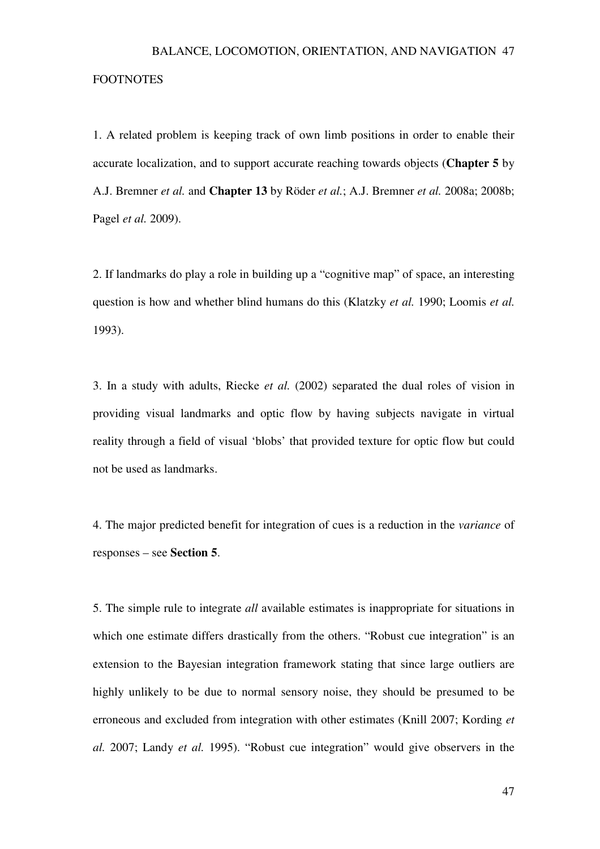#### FOOTNOTES

1. A related problem is keeping track of own limb positions in order to enable their accurate localization, and to support accurate reaching towards objects (**Chapter 5** by A.J. Bremner *et al.* and **Chapter 13** by Röder *et al.*; A.J. Bremner *et al.* 2008a; 2008b; Pagel *et al.* 2009).

2. If landmarks do play a role in building up a "cognitive map" of space, an interesting question is how and whether blind humans do this (Klatzky *et al.* 1990; Loomis *et al.* 1993).

3. In a study with adults, Riecke *et al.* (2002) separated the dual roles of vision in providing visual landmarks and optic flow by having subjects navigate in virtual reality through a field of visual 'blobs' that provided texture for optic flow but could not be used as landmarks.

4. The major predicted benefit for integration of cues is a reduction in the *variance* of responses – see **Section 5**.

5. The simple rule to integrate *all* available estimates is inappropriate for situations in which one estimate differs drastically from the others. "Robust cue integration" is an extension to the Bayesian integration framework stating that since large outliers are highly unlikely to be due to normal sensory noise, they should be presumed to be erroneous and excluded from integration with other estimates (Knill 2007; Kording *et al.* 2007; Landy *et al.* 1995). "Robust cue integration" would give observers in the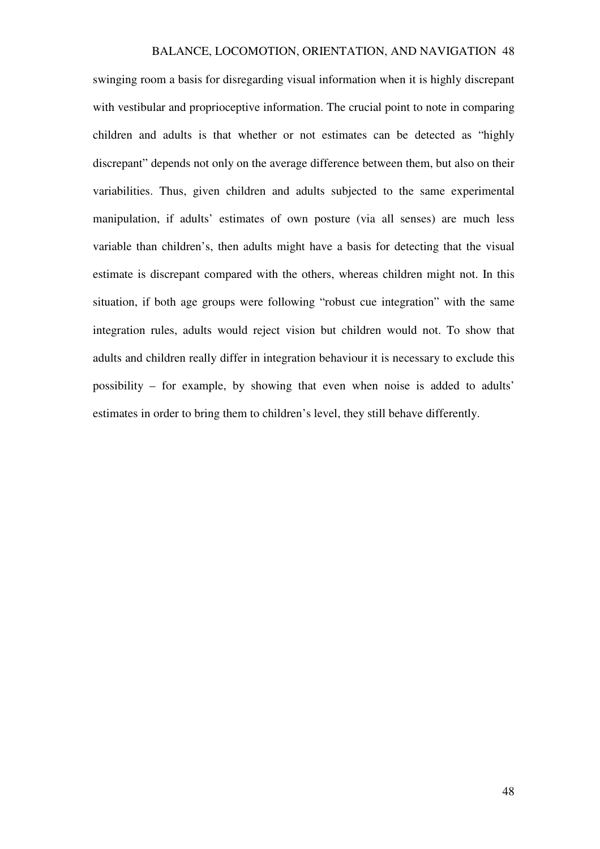swinging room a basis for disregarding visual information when it is highly discrepant with vestibular and proprioceptive information. The crucial point to note in comparing children and adults is that whether or not estimates can be detected as "highly discrepant" depends not only on the average difference between them, but also on their variabilities. Thus, given children and adults subjected to the same experimental manipulation, if adults' estimates of own posture (via all senses) are much less variable than children's, then adults might have a basis for detecting that the visual estimate is discrepant compared with the others, whereas children might not. In this situation, if both age groups were following "robust cue integration" with the same integration rules, adults would reject vision but children would not. To show that adults and children really differ in integration behaviour it is necessary to exclude this possibility – for example, by showing that even when noise is added to adults' estimates in order to bring them to children's level, they still behave differently.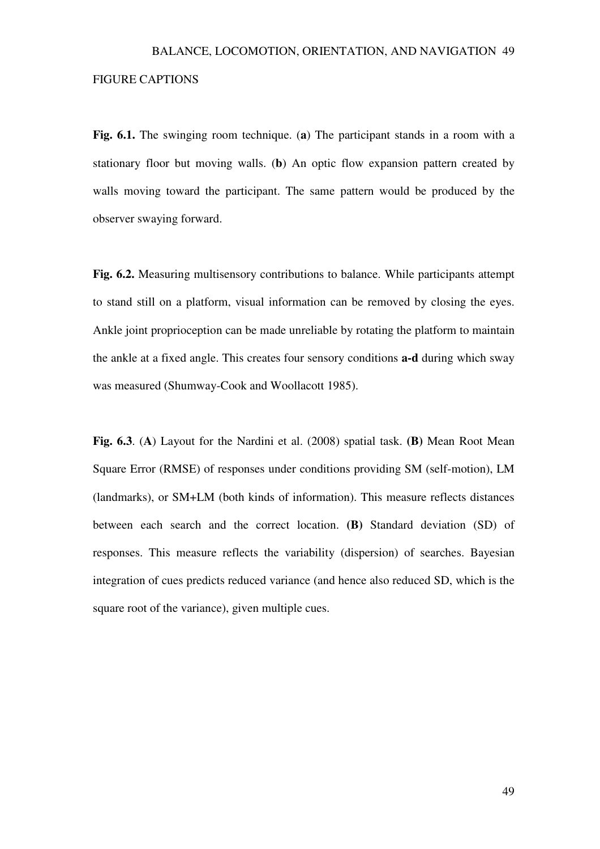#### FIGURE CAPTIONS

**Fig. 6.1.** The swinging room technique. (**a**) The participant stands in a room with a stationary floor but moving walls. (**b**) An optic flow expansion pattern created by walls moving toward the participant. The same pattern would be produced by the observer swaying forward.

**Fig. 6.2.** Measuring multisensory contributions to balance. While participants attempt to stand still on a platform, visual information can be removed by closing the eyes. Ankle joint proprioception can be made unreliable by rotating the platform to maintain the ankle at a fixed angle. This creates four sensory conditions **a-d** during which sway was measured (Shumway-Cook and Woollacott 1985).

**Fig. 6.3**. (**A**) Layout for the Nardini et al. (2008) spatial task. **(B)** Mean Root Mean Square Error (RMSE) of responses under conditions providing SM (self-motion), LM (landmarks), or SM+LM (both kinds of information). This measure reflects distances between each search and the correct location. **(B)** Standard deviation (SD) of responses. This measure reflects the variability (dispersion) of searches. Bayesian integration of cues predicts reduced variance (and hence also reduced SD, which is the square root of the variance), given multiple cues.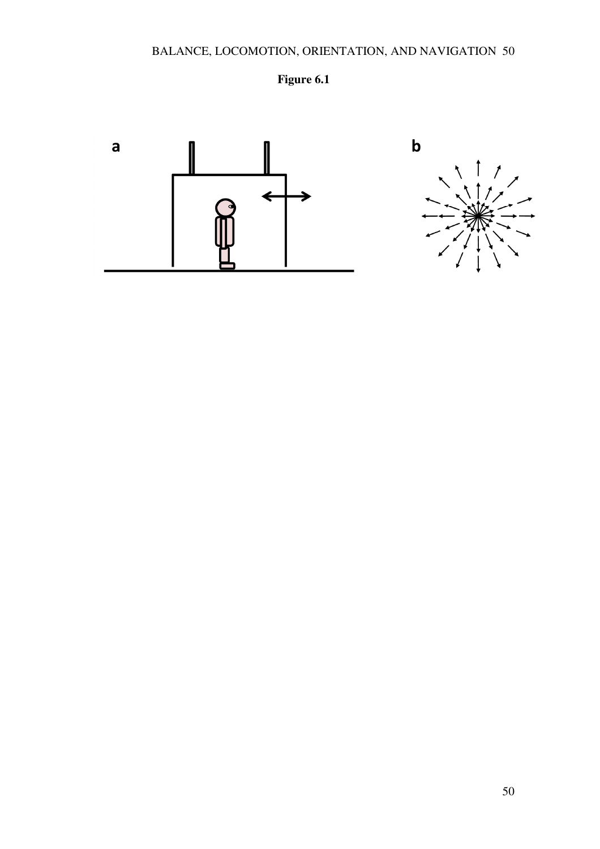



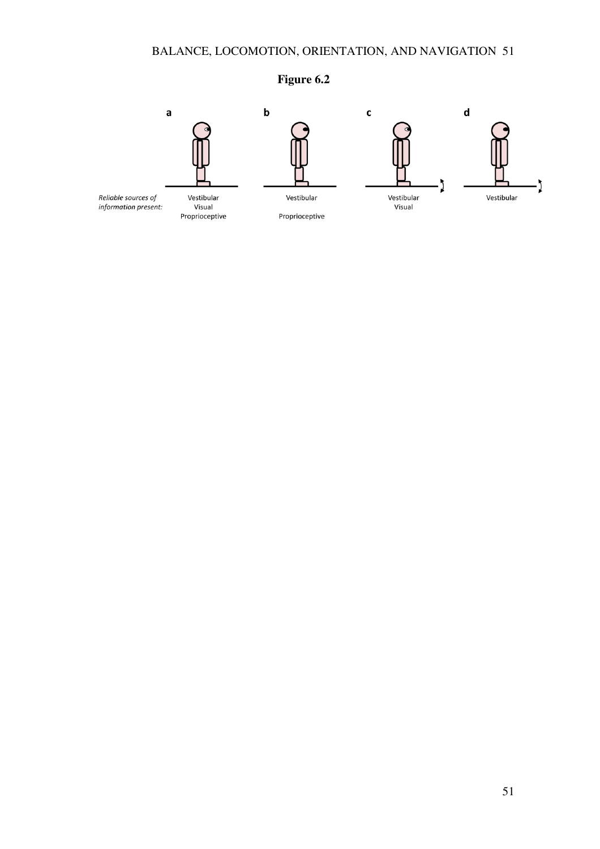# **Figure 6.2**



information present: